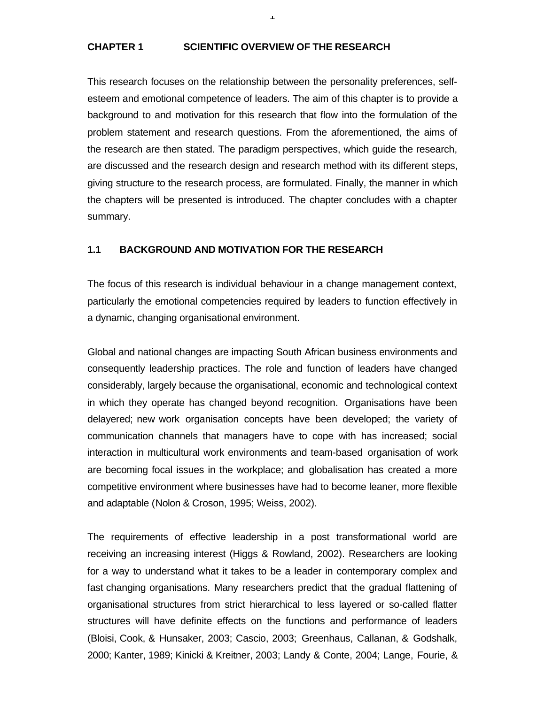### **CHAPTER 1 SCIENTIFIC OVERVIEW OF THE RESEARCH**

This research focuses on the relationship between the personality preferences, selfesteem and emotional competence of leaders. The aim of this chapter is to provide a background to and motivation for this research that flow into the formulation of the problem statement and research questions. From the aforementioned, the aims of the research are then stated. The paradigm perspectives, which guide the research, are discussed and the research design and research method with its different steps, giving structure to the research process, are formulated. Finally, the manner in which the chapters will be presented is introduced. The chapter concludes with a chapter summary.

1

## **1.1 BACKGROUND AND MOTIVATION FOR THE RESEARCH**

The focus of this research is individual behaviour in a change management context, particularly the emotional competencies required by leaders to function effectively in a dynamic, changing organisational environment.

Global and national changes are impacting South African business environments and consequently leadership practices. The role and function of leaders have changed considerably, largely because the organisational, economic and technological context in which they operate has changed beyond recognition. Organisations have been delayered; new work organisation concepts have been developed; the variety of communication channels that managers have to cope with has increased; social interaction in multicultural work environments and team-based organisation of work are becoming focal issues in the workplace; and globalisation has created a more competitive environment where businesses have had to become leaner, more flexible and adaptable (Nolon & Croson, 1995; Weiss, 2002).

The requirements of effective leadership in a post transformational world are receiving an increasing interest (Higgs & Rowland, 2002). Researchers are looking for a way to understand what it takes to be a leader in contemporary complex and fast changing organisations. Many researchers predict that the gradual flattening of organisational structures from strict hierarchical to less layered or so-called flatter structures will have definite effects on the functions and performance of leaders (Bloisi, Cook, & Hunsaker, 2003; Cascio, 2003; Greenhaus, Callanan, & Godshalk, 2000; Kanter, 1989; Kinicki & Kreitner, 2003; Landy & Conte, 2004; Lange, Fourie, &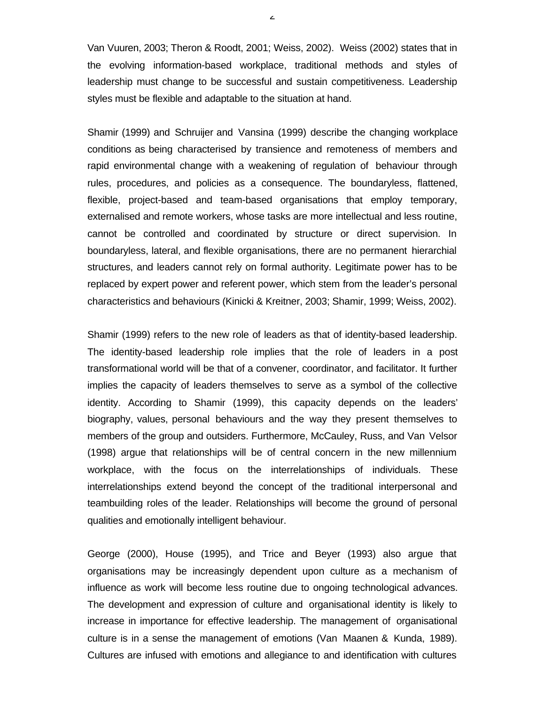Van Vuuren, 2003; Theron & Roodt, 2001; Weiss, 2002). Weiss (2002) states that in the evolving information-based workplace, traditional methods and styles of leadership must change to be successful and sustain competitiveness. Leadership styles must be flexible and adaptable to the situation at hand.

Shamir (1999) and Schruijer and Vansina (1999) describe the changing workplace conditions as being characterised by transience and remoteness of members and rapid environmental change with a weakening of regulation of behaviour through rules, procedures, and policies as a consequence. The boundaryless, flattened, flexible, project-based and team-based organisations that employ temporary, externalised and remote workers, whose tasks are more intellectual and less routine, cannot be controlled and coordinated by structure or direct supervision. In boundaryless, lateral, and flexible organisations, there are no permanent hierarchial structures, and leaders cannot rely on formal authority. Legitimate power has to be replaced by expert power and referent power, which stem from the leader's personal characteristics and behaviours (Kinicki & Kreitner, 2003; Shamir, 1999; Weiss, 2002).

Shamir (1999) refers to the new role of leaders as that of identity-based leadership. The identity-based leadership role implies that the role of leaders in a post transformational world will be that of a convener, coordinator, and facilitator. It further implies the capacity of leaders themselves to serve as a symbol of the collective identity. According to Shamir (1999), this capacity depends on the leaders' biography, values, personal behaviours and the way they present themselves to members of the group and outsiders. Furthermore, McCauley, Russ, and Van Velsor (1998) argue that relationships will be of central concern in the new millennium workplace, with the focus on the interrelationships of individuals. These interrelationships extend beyond the concept of the traditional interpersonal and teambuilding roles of the leader. Relationships will become the ground of personal qualities and emotionally intelligent behaviour.

George (2000), House (1995), and Trice and Beyer (1993) also argue that organisations may be increasingly dependent upon culture as a mechanism of influence as work will become less routine due to ongoing technological advances. The development and expression of culture and organisational identity is likely to increase in importance for effective leadership. The management of organisational culture is in a sense the management of emotions (Van Maanen & Kunda, 1989). Cultures are infused with emotions and allegiance to and identification with cultures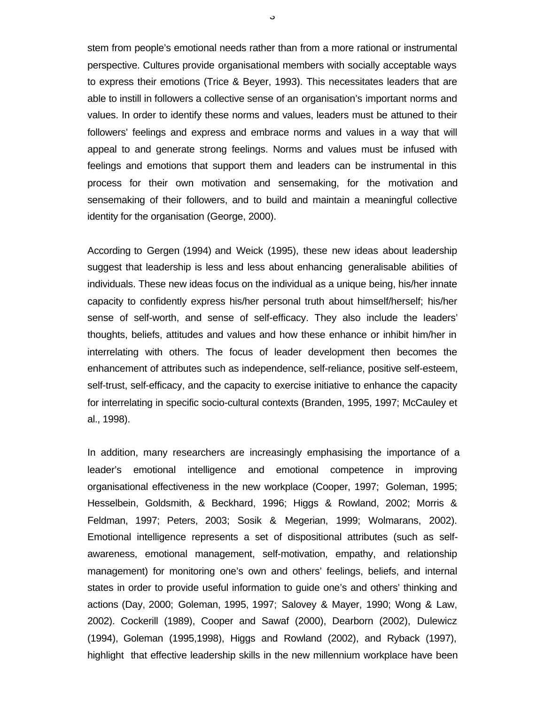stem from people's emotional needs rather than from a more rational or instrumental perspective. Cultures provide organisational members with socially acceptable ways to express their emotions (Trice & Beyer, 1993). This necessitates leaders that are able to instill in followers a collective sense of an organisation's important norms and values. In order to identify these norms and values, leaders must be attuned to their followers' feelings and express and embrace norms and values in a way that will appeal to and generate strong feelings. Norms and values must be infused with feelings and emotions that support them and leaders can be instrumental in this process for their own motivation and sensemaking, for the motivation and sensemaking of their followers, and to build and maintain a meaningful collective identity for the organisation (George, 2000).

According to Gergen (1994) and Weick (1995), these new ideas about leadership suggest that leadership is less and less about enhancing generalisable abilities of individuals. These new ideas focus on the individual as a unique being, his/her innate capacity to confidently express his/her personal truth about himself/herself; his/her sense of self-worth, and sense of self-efficacy. They also include the leaders' thoughts, beliefs, attitudes and values and how these enhance or inhibit him/her in interrelating with others. The focus of leader development then becomes the enhancement of attributes such as independence, self-reliance, positive self-esteem, self-trust, self-efficacy, and the capacity to exercise initiative to enhance the capacity for interrelating in specific socio-cultural contexts (Branden, 1995, 1997; McCauley et al., 1998).

In addition, many researchers are increasingly emphasising the importance of a leader's emotional intelligence and emotional competence in improving organisational effectiveness in the new workplace (Cooper, 1997; Goleman, 1995; Hesselbein, Goldsmith, & Beckhard, 1996; Higgs & Rowland, 2002; Morris & Feldman, 1997; Peters, 2003; Sosik & Megerian, 1999; Wolmarans, 2002). Emotional intelligence represents a set of dispositional attributes (such as selfawareness, emotional management, self-motivation, empathy, and relationship management) for monitoring one's own and others' feelings, beliefs, and internal states in order to provide useful information to guide one's and others' thinking and actions (Day, 2000; Goleman, 1995, 1997; Salovey & Mayer, 1990; Wong & Law, 2002). Cockerill (1989), Cooper and Sawaf (2000), Dearborn (2002), Dulewicz (1994), Goleman (1995,1998), Higgs and Rowland (2002), and Ryback (1997), highlight that effective leadership skills in the new millennium workplace have been

ن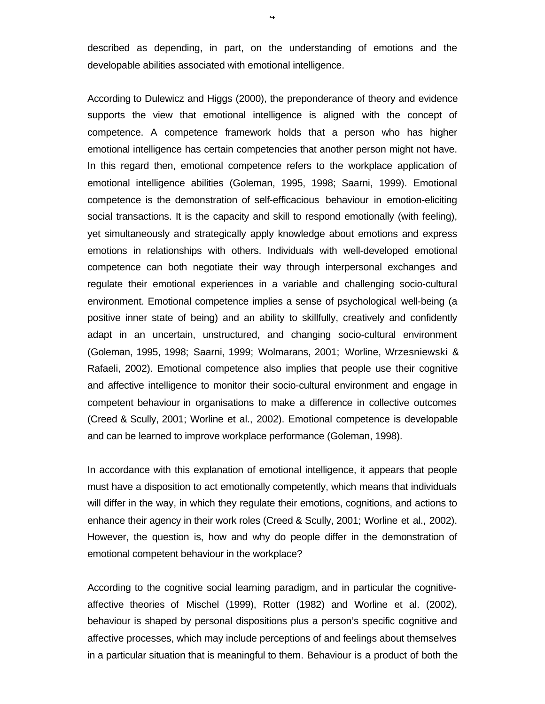described as depending, in part, on the understanding of emotions and the developable abilities associated with emotional intelligence.

According to Dulewicz and Higgs (2000), the preponderance of theory and evidence supports the view that emotional intelligence is aligned with the concept of competence. A competence framework holds that a person who has higher emotional intelligence has certain competencies that another person might not have. In this regard then, emotional competence refers to the workplace application of emotional intelligence abilities (Goleman, 1995, 1998; Saarni, 1999). Emotional competence is the demonstration of self-efficacious behaviour in emotion-eliciting social transactions. It is the capacity and skill to respond emotionally (with feeling), yet simultaneously and strategically apply knowledge about emotions and express emotions in relationships with others. Individuals with well-developed emotional competence can both negotiate their way through interpersonal exchanges and regulate their emotional experiences in a variable and challenging socio-cultural environment. Emotional competence implies a sense of psychological well-being (a positive inner state of being) and an ability to skillfully, creatively and confidently adapt in an uncertain, unstructured, and changing socio-cultural environment (Goleman, 1995, 1998; Saarni, 1999; Wolmarans, 2001; Worline, Wrzesniewski & Rafaeli, 2002). Emotional competence also implies that people use their cognitive and affective intelligence to monitor their socio-cultural environment and engage in competent behaviour in organisations to make a difference in collective outcomes (Creed & Scully, 2001; Worline et al., 2002). Emotional competence is developable and can be learned to improve workplace performance (Goleman, 1998).

In accordance with this explanation of emotional intelligence, it appears that people must have a disposition to act emotionally competently, which means that individuals will differ in the way, in which they regulate their emotions, cognitions, and actions to enhance their agency in their work roles (Creed & Scully, 2001; Worline et al., 2002). However, the question is, how and why do people differ in the demonstration of emotional competent behaviour in the workplace?

According to the cognitive social learning paradigm, and in particular the cognitiveaffective theories of Mischel (1999), Rotter (1982) and Worline et al. (2002), behaviour is shaped by personal dispositions plus a person's specific cognitive and affective processes, which may include perceptions of and feelings about themselves in a particular situation that is meaningful to them. Behaviour is a product of both the

4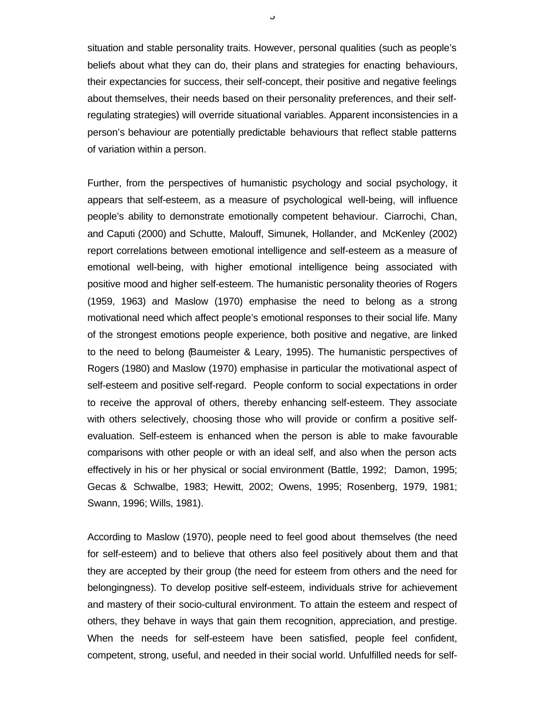situation and stable personality traits. However, personal qualities (such as people's beliefs about what they can do, their plans and strategies for enacting behaviours, their expectancies for success, their self-concept, their positive and negative feelings about themselves, their needs based on their personality preferences, and their selfregulating strategies) will override situational variables. Apparent inconsistencies in a person's behaviour are potentially predictable behaviours that reflect stable patterns of variation within a person.

Further, from the perspectives of humanistic psychology and social psychology, it appears that self-esteem, as a measure of psychological well-being, will influence people's ability to demonstrate emotionally competent behaviour. Ciarrochi, Chan, and Caputi (2000) and Schutte, Malouff, Simunek, Hollander, and McKenley (2002) report correlations between emotional intelligence and self-esteem as a measure of emotional well-being, with higher emotional intelligence being associated with positive mood and higher self-esteem. The humanistic personality theories of Rogers (1959, 1963) and Maslow (1970) emphasise the need to belong as a strong motivational need which affect people's emotional responses to their social life. Many of the strongest emotions people experience, both positive and negative, are linked to the need to belong (Baumeister & Leary, 1995). The humanistic perspectives of Rogers (1980) and Maslow (1970) emphasise in particular the motivational aspect of self-esteem and positive self-regard. People conform to social expectations in order to receive the approval of others, thereby enhancing self-esteem. They associate with others selectively, choosing those who will provide or confirm a positive selfevaluation. Self-esteem is enhanced when the person is able to make favourable comparisons with other people or with an ideal self, and also when the person acts effectively in his or her physical or social environment (Battle, 1992; Damon, 1995; Gecas & Schwalbe, 1983; Hewitt, 2002; Owens, 1995; Rosenberg, 1979, 1981; Swann, 1996; Wills, 1981).

According to Maslow (1970), people need to feel good about themselves (the need for self-esteem) and to believe that others also feel positively about them and that they are accepted by their group (the need for esteem from others and the need for belongingness). To develop positive self-esteem, individuals strive for achievement and mastery of their socio-cultural environment. To attain the esteem and respect of others, they behave in ways that gain them recognition, appreciation, and prestige. When the needs for self-esteem have been satisfied, people feel confident, competent, strong, useful, and needed in their social world. Unfulfilled needs for self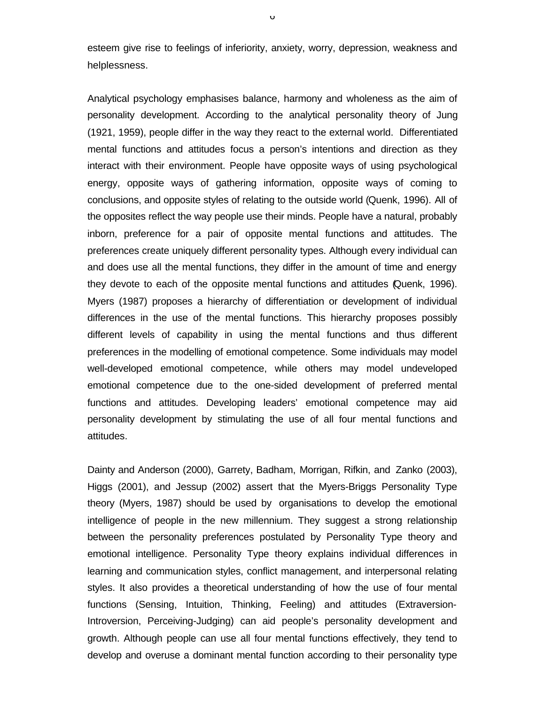esteem give rise to feelings of inferiority, anxiety, worry, depression, weakness and helplessness.

Analytical psychology emphasises balance, harmony and wholeness as the aim of personality development. According to the analytical personality theory of Jung (1921, 1959), people differ in the way they react to the external world. Differentiated mental functions and attitudes focus a person's intentions and direction as they interact with their environment. People have opposite ways of using psychological energy, opposite ways of gathering information, opposite ways of coming to conclusions, and opposite styles of relating to the outside world (Quenk, 1996). All of the opposites reflect the way people use their minds. People have a natural, probably inborn, preference for a pair of opposite mental functions and attitudes. The preferences create uniquely different personality types. Although every individual can and does use all the mental functions, they differ in the amount of time and energy they devote to each of the opposite mental functions and attitudes (Quenk, 1996). Myers (1987) proposes a hierarchy of differentiation or development of individual differences in the use of the mental functions. This hierarchy proposes possibly different levels of capability in using the mental functions and thus different preferences in the modelling of emotional competence. Some individuals may model well-developed emotional competence, while others may model undeveloped emotional competence due to the one-sided development of preferred mental functions and attitudes. Developing leaders' emotional competence may aid personality development by stimulating the use of all four mental functions and attitudes.

Dainty and Anderson (2000), Garrety, Badham, Morrigan, Rifkin, and Zanko (2003), Higgs (2001), and Jessup (2002) assert that the Myers-Briggs Personality Type theory (Myers, 1987) should be used by organisations to develop the emotional intelligence of people in the new millennium. They suggest a strong relationship between the personality preferences postulated by Personality Type theory and emotional intelligence. Personality Type theory explains individual differences in learning and communication styles, conflict management, and interpersonal relating styles. It also provides a theoretical understanding of how the use of four mental functions (Sensing, Intuition, Thinking, Feeling) and attitudes (Extraversion-Introversion, Perceiving-Judging) can aid people's personality development and growth. Although people can use all four mental functions effectively, they tend to develop and overuse a dominant mental function according to their personality type

 $\overline{U}$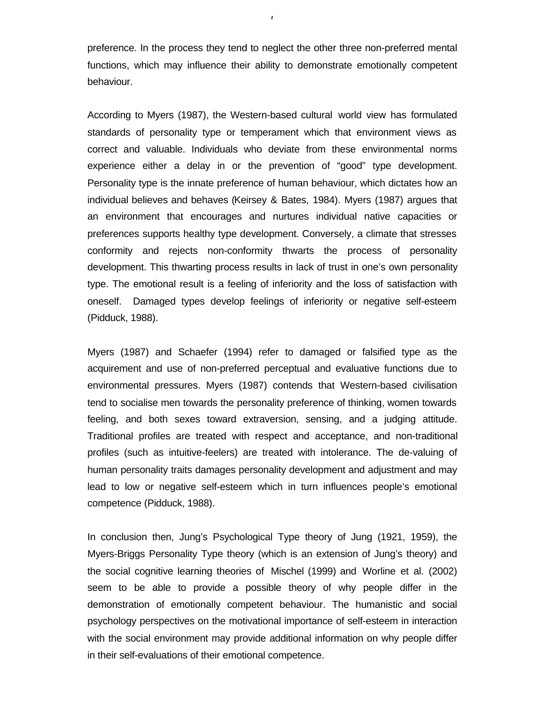preference. In the process they tend to neglect the other three non-preferred mental functions, which may influence their ability to demonstrate emotionally competent behaviour.

 $\mathbf{r}$ 

According to Myers (1987), the Western-based cultural world view has formulated standards of personality type or temperament which that environment views as correct and valuable. Individuals who deviate from these environmental norms experience either a delay in or the prevention of "good" type development. Personality type is the innate preference of human behaviour, which dictates how an individual believes and behaves (Keirsey & Bates, 1984). Myers (1987) argues that an environment that encourages and nurtures individual native capacities or preferences supports healthy type development. Conversely, a climate that stresses conformity and rejects non-conformity thwarts the process of personality development. This thwarting process results in lack of trust in one's own personality type. The emotional result is a feeling of inferiority and the loss of satisfaction with oneself. Damaged types develop feelings of inferiority or negative self-esteem (Pidduck, 1988).

Myers (1987) and Schaefer (1994) refer to damaged or falsified type as the acquirement and use of non-preferred perceptual and evaluative functions due to environmental pressures. Myers (1987) contends that Western-based civilisation tend to socialise men towards the personality preference of thinking, women towards feeling, and both sexes toward extraversion, sensing, and a judging attitude. Traditional profiles are treated with respect and acceptance, and non-traditional profiles (such as intuitive-feelers) are treated with intolerance. The de-valuing of human personality traits damages personality development and adjustment and may lead to low or negative self-esteem which in turn influences people's emotional competence (Pidduck, 1988).

In conclusion then, Jung's Psychological Type theory of Jung (1921, 1959), the Myers-Briggs Personality Type theory (which is an extension of Jung's theory) and the social cognitive learning theories of Mischel (1999) and Worline et al. (2002) seem to be able to provide a possible theory of why people differ in the demonstration of emotionally competent behaviour. The humanistic and social psychology perspectives on the motivational importance of self-esteem in interaction with the social environment may provide additional information on why people differ in their self-evaluations of their emotional competence.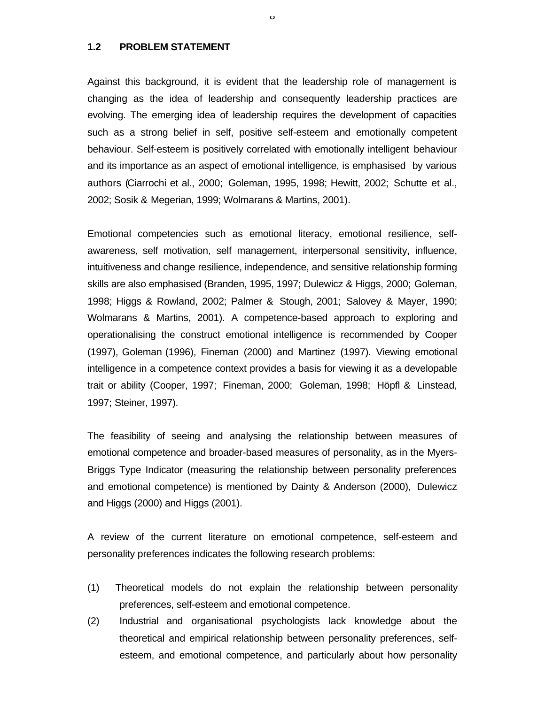#### **1.2 PROBLEM STATEMENT**

Against this background, it is evident that the leadership role of management is changing as the idea of leadership and consequently leadership practices are evolving. The emerging idea of leadership requires the development of capacities such as a strong belief in self, positive self-esteem and emotionally competent behaviour. Self-esteem is positively correlated with emotionally intelligent behaviour and its importance as an aspect of emotional intelligence, is emphasised by various authors (Ciarrochi et al., 2000; Goleman, 1995, 1998; Hewitt, 2002; Schutte et al., 2002; Sosik & Megerian, 1999; Wolmarans & Martins, 2001).

 $\mathbf{o}$ 

Emotional competencies such as emotional literacy, emotional resilience, selfawareness, self motivation, self management, interpersonal sensitivity, influence, intuitiveness and change resilience, independence, and sensitive relationship forming skills are also emphasised (Branden, 1995, 1997; Dulewicz & Higgs, 2000; Goleman, 1998; Higgs & Rowland, 2002; Palmer & Stough, 2001; Salovey & Mayer, 1990; Wolmarans & Martins, 2001). A competence-based approach to exploring and operationalising the construct emotional intelligence is recommended by Cooper (1997), Goleman (1996), Fineman (2000) and Martinez (1997). Viewing emotional intelligence in a competence context provides a basis for viewing it as a developable trait or ability (Cooper, 1997; Fineman, 2000; Goleman, 1998; Höpfl & Linstead, 1997; Steiner, 1997).

The feasibility of seeing and analysing the relationship between measures of emotional competence and broader-based measures of personality, as in the Myers-Briggs Type Indicator (measuring the relationship between personality preferences and emotional competence) is mentioned by Dainty & Anderson (2000), Dulewicz and Higgs (2000) and Higgs (2001).

A review of the current literature on emotional competence, self-esteem and personality preferences indicates the following research problems:

- (1) Theoretical models do not explain the relationship between personality preferences, self-esteem and emotional competence.
- (2) Industrial and organisational psychologists lack knowledge about the theoretical and empirical relationship between personality preferences, selfesteem, and emotional competence, and particularly about how personality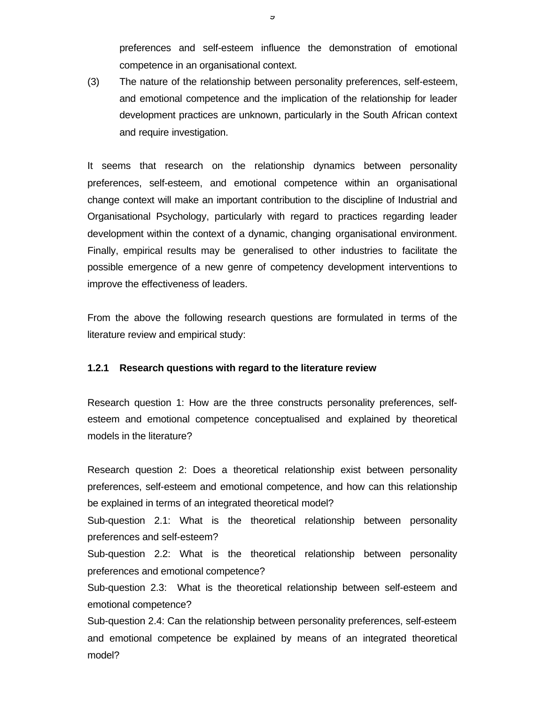preferences and self-esteem influence the demonstration of emotional competence in an organisational context.

(3) The nature of the relationship between personality preferences, self-esteem, and emotional competence and the implication of the relationship for leader development practices are unknown, particularly in the South African context and require investigation.

It seems that research on the relationship dynamics between personality preferences, self-esteem, and emotional competence within an organisational change context will make an important contribution to the discipline of Industrial and Organisational Psychology, particularly with regard to practices regarding leader development within the context of a dynamic, changing organisational environment. Finally, empirical results may be generalised to other industries to facilitate the possible emergence of a new genre of competency development interventions to improve the effectiveness of leaders.

From the above the following research questions are formulated in terms of the literature review and empirical study:

#### **1.2.1 Research questions with regard to the literature review**

Research question 1: How are the three constructs personality preferences, selfesteem and emotional competence conceptualised and explained by theoretical models in the literature?

Research question 2: Does a theoretical relationship exist between personality preferences, self-esteem and emotional competence, and how can this relationship be explained in terms of an integrated theoretical model?

Sub-question 2.1: What is the theoretical relationship between personality preferences and self-esteem?

Sub-question 2.2: What is the theoretical relationship between personality preferences and emotional competence?

Sub-question 2.3: What is the theoretical relationship between self-esteem and emotional competence?

Sub-question 2.4: Can the relationship between personality preferences, self-esteem and emotional competence be explained by means of an integrated theoretical model?

9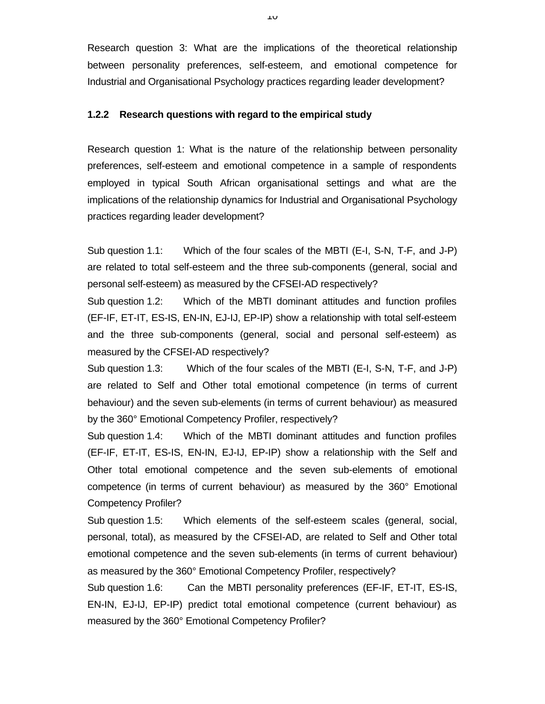Research question 3: What are the implications of the theoretical relationship between personality preferences, self-esteem, and emotional competence for Industrial and Organisational Psychology practices regarding leader development?

#### **1.2.2 Research questions with regard to the empirical study**

Research question 1: What is the nature of the relationship between personality preferences, self-esteem and emotional competence in a sample of respondents employed in typical South African organisational settings and what are the implications of the relationship dynamics for Industrial and Organisational Psychology practices regarding leader development?

Sub question 1.1: Which of the four scales of the MBTI (E-I, S-N, T-F, and J-P) are related to total self-esteem and the three sub-components (general, social and personal self-esteem) as measured by the CFSEI-AD respectively?

Sub question 1.2: Which of the MBTI dominant attitudes and function profiles (EF-IF, ET-IT, ES-IS, EN-IN, EJ-IJ, EP-IP) show a relationship with total self-esteem and the three sub-components (general, social and personal self-esteem) as measured by the CFSEI-AD respectively?

Sub question 1.3: Which of the four scales of the MBTI (E-I, S-N, T-F, and J-P) are related to Self and Other total emotional competence (in terms of current behaviour) and the seven sub-elements (in terms of current behaviour) as measured by the 360° Emotional Competency Profiler, respectively?

Sub question 1.4: Which of the MBTI dominant attitudes and function profiles (EF-IF, ET-IT, ES-IS, EN-IN, EJ-IJ, EP-IP) show a relationship with the Self and Other total emotional competence and the seven sub-elements of emotional competence (in terms of current behaviour) as measured by the 360° Emotional Competency Profiler?

Sub question 1.5: Which elements of the self-esteem scales (general, social, personal, total), as measured by the CFSEI-AD, are related to Self and Other total emotional competence and the seven sub-elements (in terms of current behaviour) as measured by the 360° Emotional Competency Profiler, respectively?

Sub question 1.6: Can the MBTI personality preferences (EF-IF, ET-IT, ES-IS, EN-IN, EJ-IJ, EP-IP) predict total emotional competence (current behaviour) as measured by the 360° Emotional Competency Profiler?

10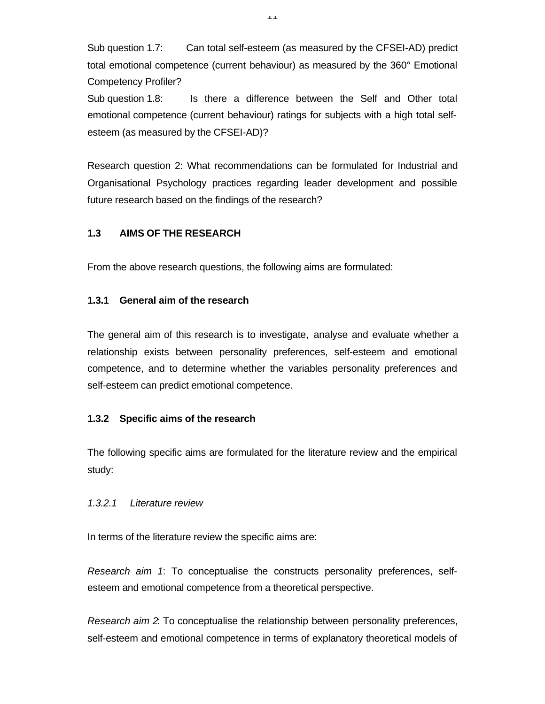Sub question 1.7: Can total self-esteem (as measured by the CFSEI-AD) predict total emotional competence (current behaviour) as measured by the 360° Emotional Competency Profiler?

Sub question 1.8: Is there a difference between the Self and Other total emotional competence (current behaviour) ratings for subjects with a high total selfesteem (as measured by the CFSEI-AD)?

Research question 2: What recommendations can be formulated for Industrial and Organisational Psychology practices regarding leader development and possible future research based on the findings of the research?

# **1.3 AIMS OF THE RESEARCH**

From the above research questions, the following aims are formulated:

## **1.3.1 General aim of the research**

The general aim of this research is to investigate, analyse and evaluate whether a relationship exists between personality preferences, self-esteem and emotional competence, and to determine whether the variables personality preferences and self-esteem can predict emotional competence.

## **1.3.2 Specific aims of the research**

The following specific aims are formulated for the literature review and the empirical study:

## *1.3.2.1 Literature review*

In terms of the literature review the specific aims are:

*Research aim 1*: To conceptualise the constructs personality preferences, selfesteem and emotional competence from a theoretical perspective.

*Research aim 2*: To conceptualise the relationship between personality preferences, self-esteem and emotional competence in terms of explanatory theoretical models of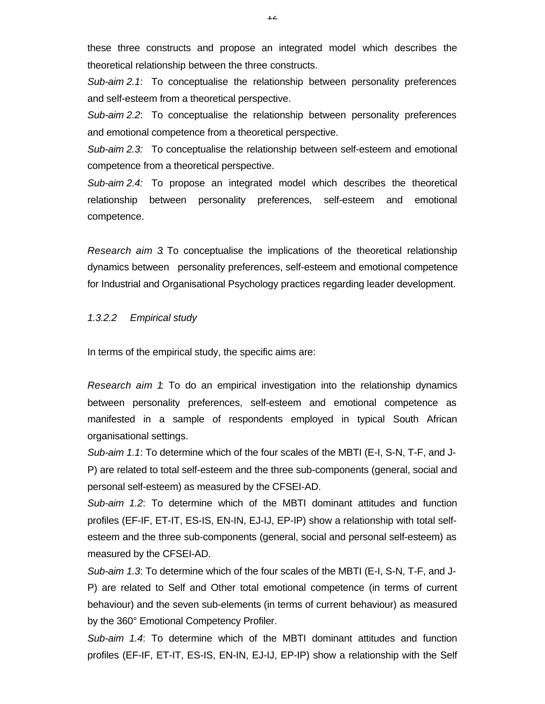these three constructs and propose an integrated model which describes the theoretical relationship between the three constructs.

*Sub-aim 2.1*: To conceptualise the relationship between personality preferences and self-esteem from a theoretical perspective.

*Sub-aim 2.2*: To conceptualise the relationship between personality preferences and emotional competence from a theoretical perspective.

*Sub-aim 2.3:* To conceptualise the relationship between self-esteem and emotional competence from a theoretical perspective.

*Sub-aim 2.4:* To propose an integrated model which describes the theoretical relationship between personality preferences, self-esteem and emotional competence.

*Research aim 3*: To conceptualise the implications of the theoretical relationship dynamics between personality preferences, self-esteem and emotional competence for Industrial and Organisational Psychology practices regarding leader development.

### *1.3.2.2 Empirical study*

In terms of the empirical study, the specific aims are:

*Research aim 1*: To do an empirical investigation into the relationship dynamics between personality preferences, self-esteem and emotional competence as manifested in a sample of respondents employed in typical South African organisational settings.

*Sub-aim 1.1*: To determine which of the four scales of the MBTI (E-I, S-N, T-F, and J-P) are related to total self-esteem and the three sub-components (general, social and personal self-esteem) as measured by the CFSEI-AD.

*Sub-aim 1.2*: To determine which of the MBTI dominant attitudes and function profiles (EF-IF, ET-IT, ES-IS, EN-IN, EJ-IJ, EP-IP) show a relationship with total selfesteem and the three sub-components (general, social and personal self-esteem) as measured by the CFSEI-AD.

*Sub-aim 1.3*: To determine which of the four scales of the MBTI (E-I, S-N, T-F, and J-P) are related to Self and Other total emotional competence (in terms of current behaviour) and the seven sub-elements (in terms of current behaviour) as measured by the 360° Emotional Competency Profiler.

*Sub-aim 1.4*: To determine which of the MBTI dominant attitudes and function profiles (EF-IF, ET-IT, ES-IS, EN-IN, EJ-IJ, EP-IP) show a relationship with the Self

12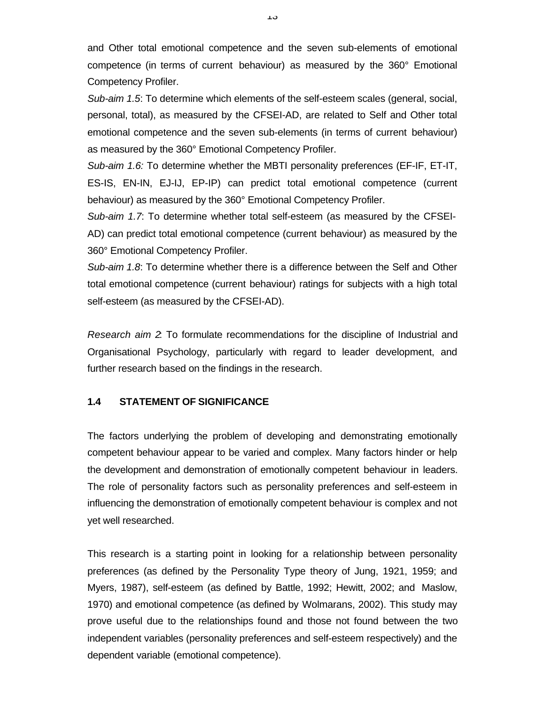and Other total emotional competence and the seven sub-elements of emotional competence (in terms of current behaviour) as measured by the 360° Emotional Competency Profiler.

*Sub-aim 1.5*: To determine which elements of the self-esteem scales (general, social, personal, total), as measured by the CFSEI-AD, are related to Self and Other total emotional competence and the seven sub-elements (in terms of current behaviour) as measured by the 360° Emotional Competency Profiler.

*Sub-aim 1.6:* To determine whether the MBTI personality preferences (EF-IF, ET-IT, ES-IS, EN-IN, EJ-IJ, EP-IP) can predict total emotional competence (current behaviour) as measured by the 360° Emotional Competency Profiler.

*Sub-aim 1.7*: To determine whether total self-esteem (as measured by the CFSEI-AD) can predict total emotional competence (current behaviour) as measured by the 360° Emotional Competency Profiler.

*Sub-aim 1.8*: To determine whether there is a difference between the Self and Other total emotional competence (current behaviour) ratings for subjects with a high total self-esteem (as measured by the CFSEI-AD).

*Research aim 2*: To formulate recommendations for the discipline of Industrial and Organisational Psychology, particularly with regard to leader development, and further research based on the findings in the research.

# **1.4 STATEMENT OF SIGNIFICANCE**

The factors underlying the problem of developing and demonstrating emotionally competent behaviour appear to be varied and complex. Many factors hinder or help the development and demonstration of emotionally competent behaviour in leaders. The role of personality factors such as personality preferences and self-esteem in influencing the demonstration of emotionally competent behaviour is complex and not yet well researched.

This research is a starting point in looking for a relationship between personality preferences (as defined by the Personality Type theory of Jung, 1921, 1959; and Myers, 1987), self-esteem (as defined by Battle, 1992; Hewitt, 2002; and Maslow, 1970) and emotional competence (as defined by Wolmarans, 2002). This study may prove useful due to the relationships found and those not found between the two independent variables (personality preferences and self-esteem respectively) and the dependent variable (emotional competence).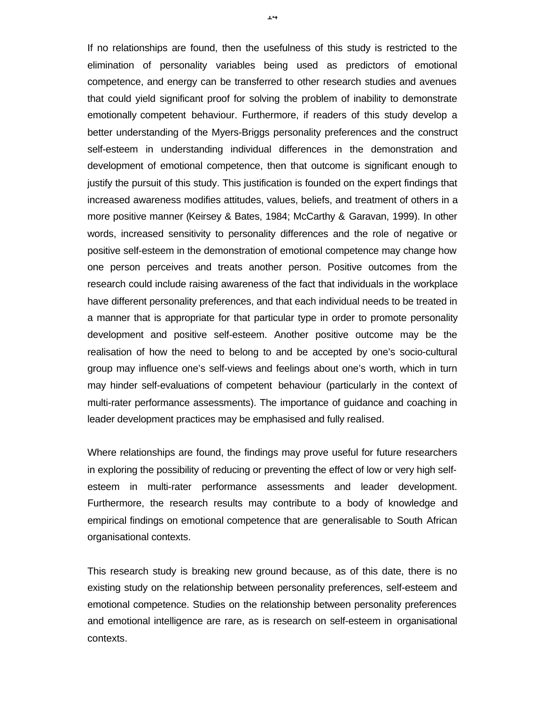If no relationships are found, then the usefulness of this study is restricted to the elimination of personality variables being used as predictors of emotional competence, and energy can be transferred to other research studies and avenues that could yield significant proof for solving the problem of inability to demonstrate emotionally competent behaviour. Furthermore, if readers of this study develop a better understanding of the Myers-Briggs personality preferences and the construct self-esteem in understanding individual differences in the demonstration and development of emotional competence, then that outcome is significant enough to justify the pursuit of this study. This justification is founded on the expert findings that increased awareness modifies attitudes, values, beliefs, and treatment of others in a more positive manner (Keirsey & Bates, 1984; McCarthy & Garavan, 1999). In other words, increased sensitivity to personality differences and the role of negative or positive self-esteem in the demonstration of emotional competence may change how one person perceives and treats another person. Positive outcomes from the research could include raising awareness of the fact that individuals in the workplace have different personality preferences, and that each individual needs to be treated in a manner that is appropriate for that particular type in order to promote personality development and positive self-esteem. Another positive outcome may be the realisation of how the need to belong to and be accepted by one's socio-cultural group may influence one's self-views and feelings about one's worth, which in turn may hinder self-evaluations of competent behaviour (particularly in the context of multi-rater performance assessments). The importance of guidance and coaching in leader development practices may be emphasised and fully realised.

Where relationships are found, the findings may prove useful for future researchers in exploring the possibility of reducing or preventing the effect of low or very high selfesteem in multi-rater performance assessments and leader development. Furthermore, the research results may contribute to a body of knowledge and empirical findings on emotional competence that are generalisable to South African organisational contexts.

This research study is breaking new ground because, as of this date, there is no existing study on the relationship between personality preferences, self-esteem and emotional competence. Studies on the relationship between personality preferences and emotional intelligence are rare, as is research on self-esteem in organisational contexts.

14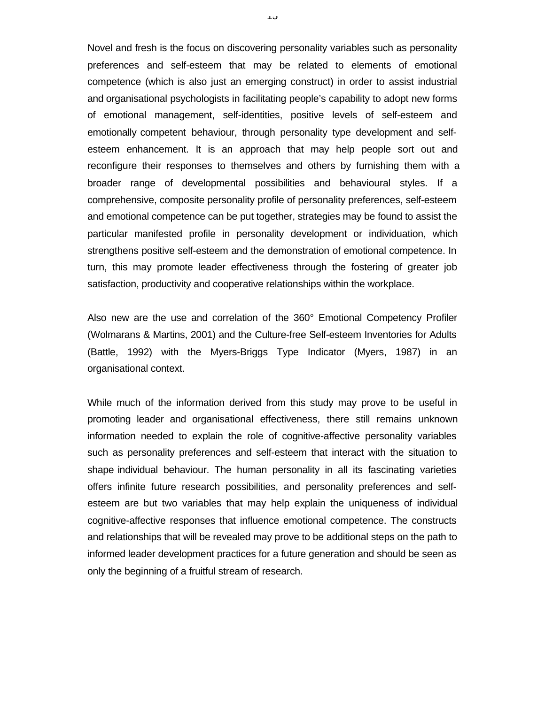Novel and fresh is the focus on discovering personality variables such as personality preferences and self-esteem that may be related to elements of emotional competence (which is also just an emerging construct) in order to assist industrial and organisational psychologists in facilitating people's capability to adopt new forms of emotional management, self-identities, positive levels of self-esteem and emotionally competent behaviour, through personality type development and selfesteem enhancement. It is an approach that may help people sort out and reconfigure their responses to themselves and others by furnishing them with a broader range of developmental possibilities and behavioural styles. If a comprehensive, composite personality profile of personality preferences, self-esteem and emotional competence can be put together, strategies may be found to assist the particular manifested profile in personality development or individuation, which strengthens positive self-esteem and the demonstration of emotional competence. In turn, this may promote leader effectiveness through the fostering of greater job satisfaction, productivity and cooperative relationships within the workplace.

Also new are the use and correlation of the 360° Emotional Competency Profiler (Wolmarans & Martins, 2001) and the Culture-free Self-esteem Inventories for Adults (Battle, 1992) with the Myers-Briggs Type Indicator (Myers, 1987) in an organisational context.

While much of the information derived from this study may prove to be useful in promoting leader and organisational effectiveness, there still remains unknown information needed to explain the role of cognitive-affective personality variables such as personality preferences and self-esteem that interact with the situation to shape individual behaviour. The human personality in all its fascinating varieties offers infinite future research possibilities, and personality preferences and selfesteem are but two variables that may help explain the uniqueness of individual cognitive-affective responses that influence emotional competence. The constructs and relationships that will be revealed may prove to be additional steps on the path to informed leader development practices for a future generation and should be seen as only the beginning of a fruitful stream of research.

15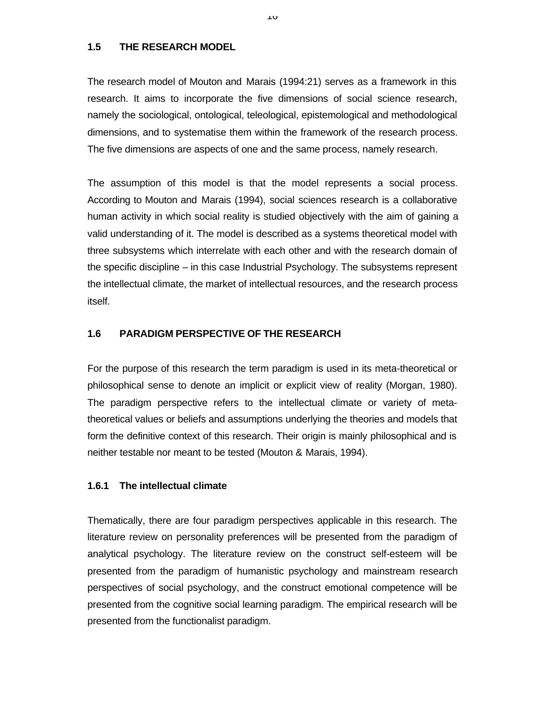### **1.5 THE RESEARCH MODEL**

The research model of Mouton and Marais (1994:21) serves as a framework in this research. It aims to incorporate the five dimensions of social science research, namely the sociological, ontological, teleological, epistemological and methodological dimensions, and to systematise them within the framework of the research process. The five dimensions are aspects of one and the same process, namely research.

The assumption of this model is that the model represents a social process. According to Mouton and Marais (1994), social sciences research is a collaborative human activity in which social reality is studied objectively with the aim of gaining a valid understanding of it. The model is described as a systems theoretical model with three subsystems which interrelate with each other and with the research domain of the specific discipline – in this case Industrial Psychology. The subsystems represent the intellectual climate, the market of intellectual resources, and the research process itself.

# **1.6 PARADIGM PERSPECTIVE OF THE RESEARCH**

For the purpose of this research the term paradigm is used in its meta-theoretical or philosophical sense to denote an implicit or explicit view of reality (Morgan, 1980). The paradigm perspective refers to the intellectual climate or variety of metatheoretical values or beliefs and assumptions underlying the theories and models that form the definitive context of this research. Their origin is mainly philosophical and is neither testable nor meant to be tested (Mouton & Marais, 1994).

## **1.6.1 The intellectual climate**

Thematically, there are four paradigm perspectives applicable in this research. The literature review on personality preferences will be presented from the paradigm of analytical psychology. The literature review on the construct self-esteem will be presented from the paradigm of humanistic psychology and mainstream research perspectives of social psychology, and the construct emotional competence will be presented from the cognitive social learning paradigm. The empirical research will be presented from the functionalist paradigm.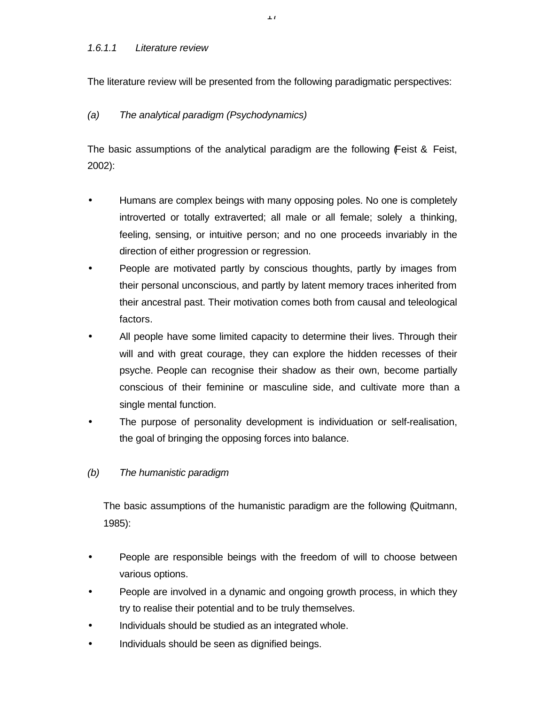The literature review will be presented from the following paradigmatic perspectives:

17

# *(a) The analytical paradigm (Psychodynamics)*

The basic assumptions of the analytical paradigm are the following (Feist & Feist, 2002):

- Humans are complex beings with many opposing poles. No one is completely introverted or totally extraverted; all male or all female; solely a thinking, feeling, sensing, or intuitive person; and no one proceeds invariably in the direction of either progression or regression.
- People are motivated partly by conscious thoughts, partly by images from their personal unconscious, and partly by latent memory traces inherited from their ancestral past. Their motivation comes both from causal and teleological factors.
- All people have some limited capacity to determine their lives. Through their will and with great courage, they can explore the hidden recesses of their psyche. People can recognise their shadow as their own, become partially conscious of their feminine or masculine side, and cultivate more than a single mental function.
- The purpose of personality development is individuation or self-realisation, the goal of bringing the opposing forces into balance.
- *(b) The humanistic paradigm*

The basic assumptions of the humanistic paradigm are the following (Quitmann, 1985):

- People are responsible beings with the freedom of will to choose between various options.
- People are involved in a dynamic and ongoing growth process, in which they try to realise their potential and to be truly themselves.
- Individuals should be studied as an integrated whole.
- Individuals should be seen as dignified beings.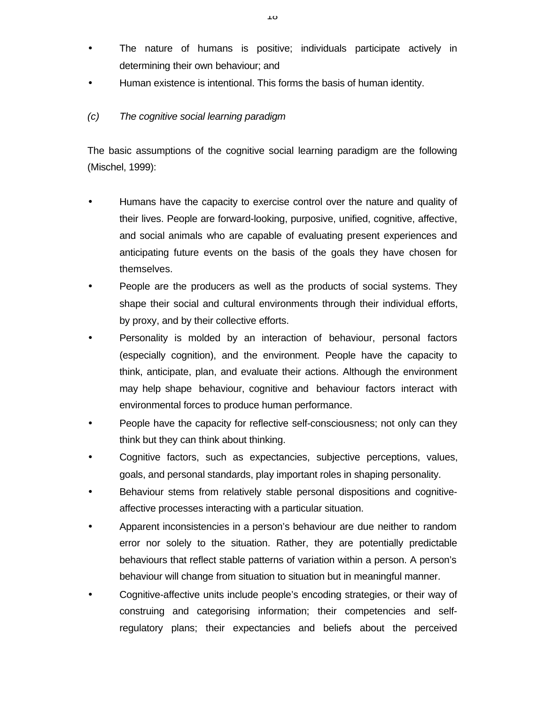- The nature of humans is positive; individuals participate actively in determining their own behaviour; and
- Human existence is intentional. This forms the basis of human identity.

# *(c) The cognitive social learning paradigm*

The basic assumptions of the cognitive social learning paradigm are the following (Mischel, 1999):

- Humans have the capacity to exercise control over the nature and quality of their lives. People are forward-looking, purposive, unified, cognitive, affective, and social animals who are capable of evaluating present experiences and anticipating future events on the basis of the goals they have chosen for themselves.
- People are the producers as well as the products of social systems. They shape their social and cultural environments through their individual efforts, by proxy, and by their collective efforts.
- Personality is molded by an interaction of behaviour, personal factors (especially cognition), and the environment. People have the capacity to think, anticipate, plan, and evaluate their actions. Although the environment may help shape behaviour, cognitive and behaviour factors interact with environmental forces to produce human performance.
- People have the capacity for reflective self-consciousness; not only can they think but they can think about thinking.
- Cognitive factors, such as expectancies, subjective perceptions, values, goals, and personal standards, play important roles in shaping personality.
- Behaviour stems from relatively stable personal dispositions and cognitiveaffective processes interacting with a particular situation.
- Apparent inconsistencies in a person's behaviour are due neither to random error nor solely to the situation. Rather, they are potentially predictable behaviours that reflect stable patterns of variation within a person. A person's behaviour will change from situation to situation but in meaningful manner.
- Cognitive-affective units include people's encoding strategies, or their way of construing and categorising information; their competencies and selfregulatory plans; their expectancies and beliefs about the perceived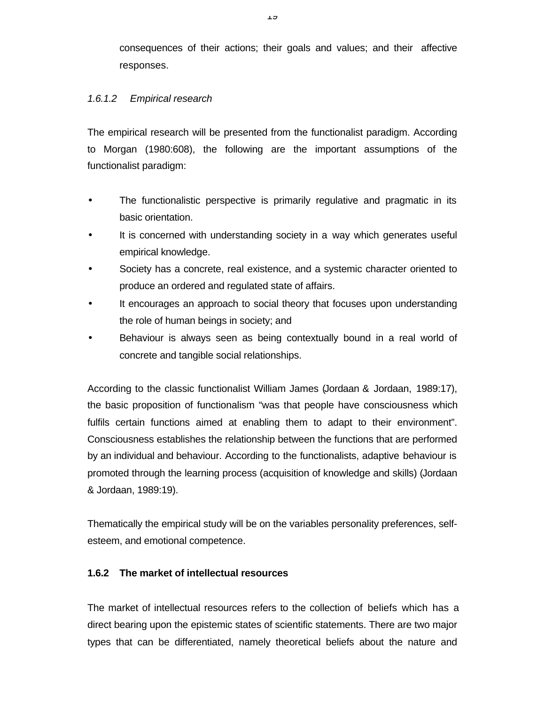consequences of their actions; their goals and values; and their affective responses.

# *1.6.1.2 Empirical research*

The empirical research will be presented from the functionalist paradigm. According to Morgan (1980:608), the following are the important assumptions of the functionalist paradigm:

- The functionalistic perspective is primarily regulative and pragmatic in its basic orientation.
- It is concerned with understanding society in a way which generates useful empirical knowledge.
- Society has a concrete, real existence, and a systemic character oriented to produce an ordered and regulated state of affairs.
- It encourages an approach to social theory that focuses upon understanding the role of human beings in society; and
- Behaviour is always seen as being contextually bound in a real world of concrete and tangible social relationships.

According to the classic functionalist William James (Jordaan & Jordaan, 1989:17), the basic proposition of functionalism "was that people have consciousness which fulfils certain functions aimed at enabling them to adapt to their environment". Consciousness establishes the relationship between the functions that are performed by an individual and behaviour. According to the functionalists, adaptive behaviour is promoted through the learning process (acquisition of knowledge and skills) (Jordaan & Jordaan, 1989:19).

Thematically the empirical study will be on the variables personality preferences, selfesteem, and emotional competence.

## **1.6.2 The market of intellectual resources**

The market of intellectual resources refers to the collection of beliefs which has a direct bearing upon the epistemic states of scientific statements. There are two major types that can be differentiated, namely theoretical beliefs about the nature and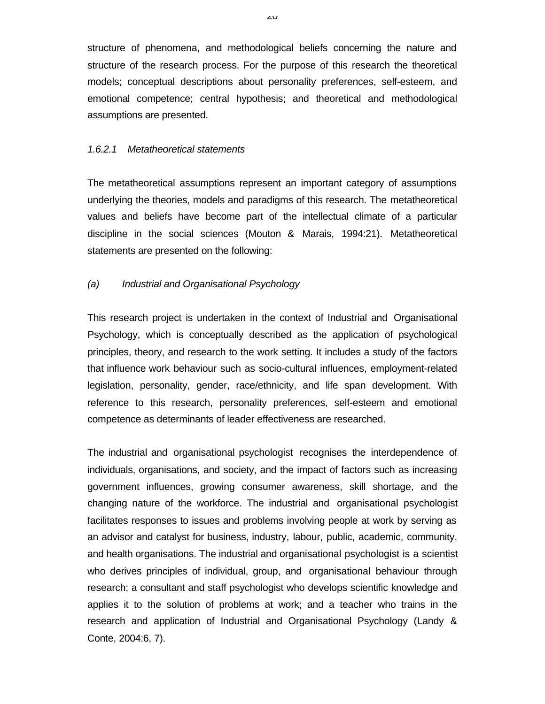structure of phenomena, and methodological beliefs concerning the nature and structure of the research process. For the purpose of this research the theoretical models; conceptual descriptions about personality preferences, self-esteem, and emotional competence; central hypothesis; and theoretical and methodological assumptions are presented.

#### *1.6.2.1 Metatheoretical statements*

The metatheoretical assumptions represent an important category of assumptions underlying the theories, models and paradigms of this research. The metatheoretical values and beliefs have become part of the intellectual climate of a particular discipline in the social sciences (Mouton & Marais, 1994:21). Metatheoretical statements are presented on the following:

## *(a) Industrial and Organisational Psychology*

This research project is undertaken in the context of Industrial and Organisational Psychology, which is conceptually described as the application of psychological principles, theory, and research to the work setting. It includes a study of the factors that influence work behaviour such as socio-cultural influences, employment-related legislation, personality, gender, race/ethnicity, and life span development. With reference to this research, personality preferences, self-esteem and emotional competence as determinants of leader effectiveness are researched.

The industrial and organisational psychologist recognises the interdependence of individuals, organisations, and society, and the impact of factors such as increasing government influences, growing consumer awareness, skill shortage, and the changing nature of the workforce. The industrial and organisational psychologist facilitates responses to issues and problems involving people at work by serving as an advisor and catalyst for business, industry, labour, public, academic, community, and health organisations. The industrial and organisational psychologist is a scientist who derives principles of individual, group, and organisational behaviour through research; a consultant and staff psychologist who develops scientific knowledge and applies it to the solution of problems at work; and a teacher who trains in the research and application of Industrial and Organisational Psychology (Landy & Conte, 2004:6, 7).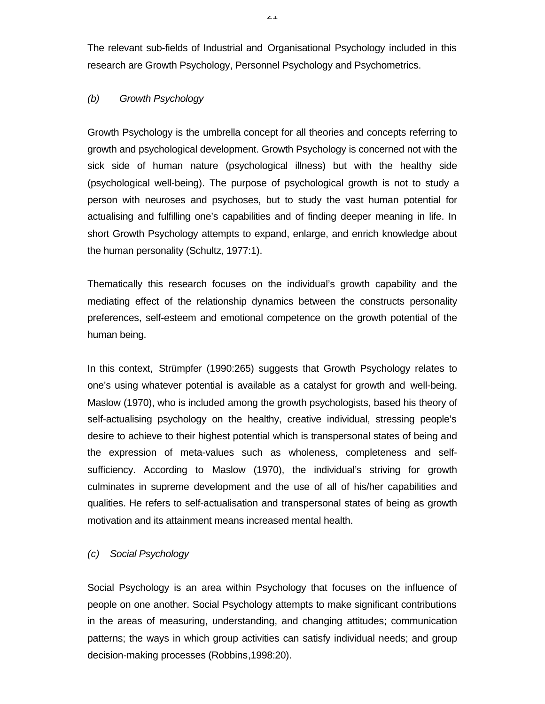The relevant sub-fields of Industrial and Organisational Psychology included in this research are Growth Psychology, Personnel Psychology and Psychometrics.

# *(b) Growth Psychology*

Growth Psychology is the umbrella concept for all theories and concepts referring to growth and psychological development. Growth Psychology is concerned not with the sick side of human nature (psychological illness) but with the healthy side (psychological well-being). The purpose of psychological growth is not to study a person with neuroses and psychoses, but to study the vast human potential for actualising and fulfilling one's capabilities and of finding deeper meaning in life. In short Growth Psychology attempts to expand, enlarge, and enrich knowledge about the human personality (Schultz, 1977:1).

Thematically this research focuses on the individual's growth capability and the mediating effect of the relationship dynamics between the constructs personality preferences, self-esteem and emotional competence on the growth potential of the human being.

In this context, Strümpfer (1990:265) suggests that Growth Psychology relates to one's using whatever potential is available as a catalyst for growth and well-being. Maslow (1970), who is included among the growth psychologists, based his theory of self-actualising psychology on the healthy, creative individual, stressing people's desire to achieve to their highest potential which is transpersonal states of being and the expression of meta-values such as wholeness, completeness and selfsufficiency. According to Maslow (1970), the individual's striving for growth culminates in supreme development and the use of all of his/her capabilities and qualities. He refers to self-actualisation and transpersonal states of being as growth motivation and its attainment means increased mental health.

## *(c) Social Psychology*

Social Psychology is an area within Psychology that focuses on the influence of people on one another. Social Psychology attempts to make significant contributions in the areas of measuring, understanding, and changing attitudes; communication patterns; the ways in which group activities can satisfy individual needs; and group decision-making processes (Robbins,1998:20).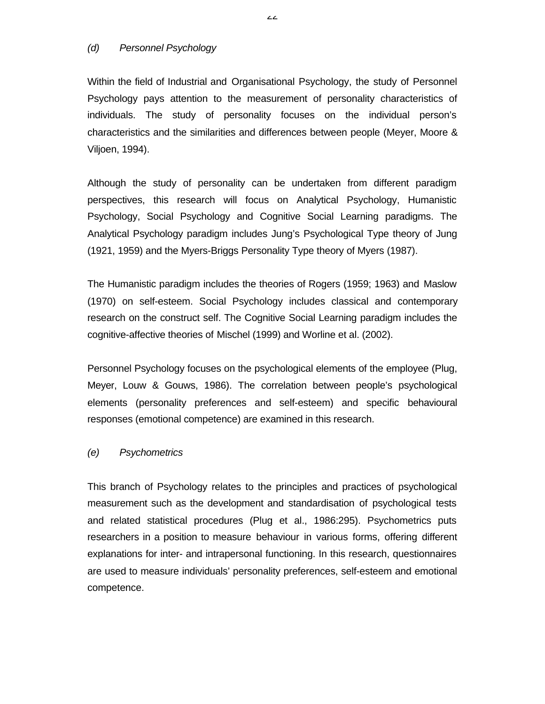#### *(d) Personnel Psychology*

Within the field of Industrial and Organisational Psychology, the study of Personnel Psychology pays attention to the measurement of personality characteristics of individuals. The study of personality focuses on the individual person's characteristics and the similarities and differences between people (Meyer, Moore & Viljoen, 1994).

Although the study of personality can be undertaken from different paradigm perspectives, this research will focus on Analytical Psychology, Humanistic Psychology, Social Psychology and Cognitive Social Learning paradigms. The Analytical Psychology paradigm includes Jung's Psychological Type theory of Jung (1921, 1959) and the Myers-Briggs Personality Type theory of Myers (1987).

The Humanistic paradigm includes the theories of Rogers (1959; 1963) and Maslow (1970) on self-esteem. Social Psychology includes classical and contemporary research on the construct self. The Cognitive Social Learning paradigm includes the cognitive-affective theories of Mischel (1999) and Worline et al. (2002).

Personnel Psychology focuses on the psychological elements of the employee (Plug, Meyer, Louw & Gouws, 1986). The correlation between people's psychological elements (personality preferences and self-esteem) and specific behavioural responses (emotional competence) are examined in this research.

#### *(e) Psychometrics*

This branch of Psychology relates to the principles and practices of psychological measurement such as the development and standardisation of psychological tests and related statistical procedures (Plug et al., 1986:295). Psychometrics puts researchers in a position to measure behaviour in various forms, offering different explanations for inter- and intrapersonal functioning. In this research, questionnaires are used to measure individuals' personality preferences, self-esteem and emotional competence.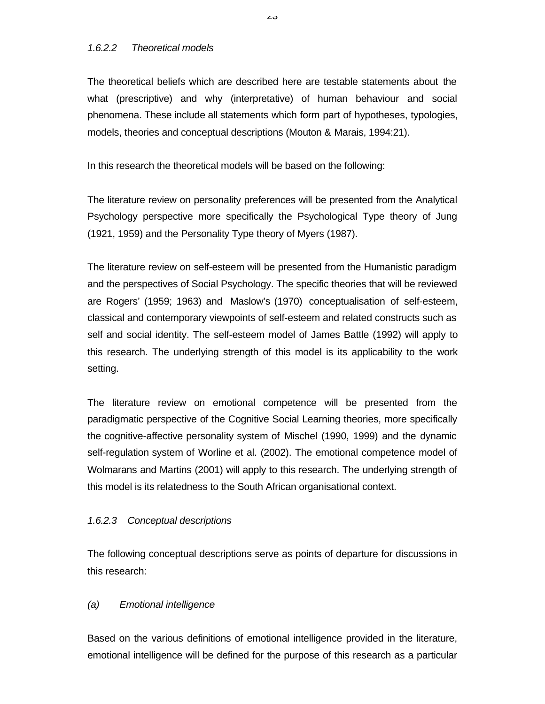## *1.6.2.2 Theoretical models*

The theoretical beliefs which are described here are testable statements about the what (prescriptive) and why (interpretative) of human behaviour and social phenomena. These include all statements which form part of hypotheses, typologies, models, theories and conceptual descriptions (Mouton & Marais, 1994:21).

In this research the theoretical models will be based on the following:

The literature review on personality preferences will be presented from the Analytical Psychology perspective more specifically the Psychological Type theory of Jung (1921, 1959) and the Personality Type theory of Myers (1987).

The literature review on self-esteem will be presented from the Humanistic paradigm and the perspectives of Social Psychology. The specific theories that will be reviewed are Rogers' (1959; 1963) and Maslow's (1970) conceptualisation of self-esteem, classical and contemporary viewpoints of self-esteem and related constructs such as self and social identity. The self-esteem model of James Battle (1992) will apply to this research. The underlying strength of this model is its applicability to the work setting.

The literature review on emotional competence will be presented from the paradigmatic perspective of the Cognitive Social Learning theories, more specifically the cognitive-affective personality system of Mischel (1990, 1999) and the dynamic self-regulation system of Worline et al. (2002). The emotional competence model of Wolmarans and Martins (2001) will apply to this research. The underlying strength of this model is its relatedness to the South African organisational context.

## *1.6.2.3 Conceptual descriptions*

The following conceptual descriptions serve as points of departure for discussions in this research:

## *(a) Emotional intelligence*

Based on the various definitions of emotional intelligence provided in the literature, emotional intelligence will be defined for the purpose of this research as a particular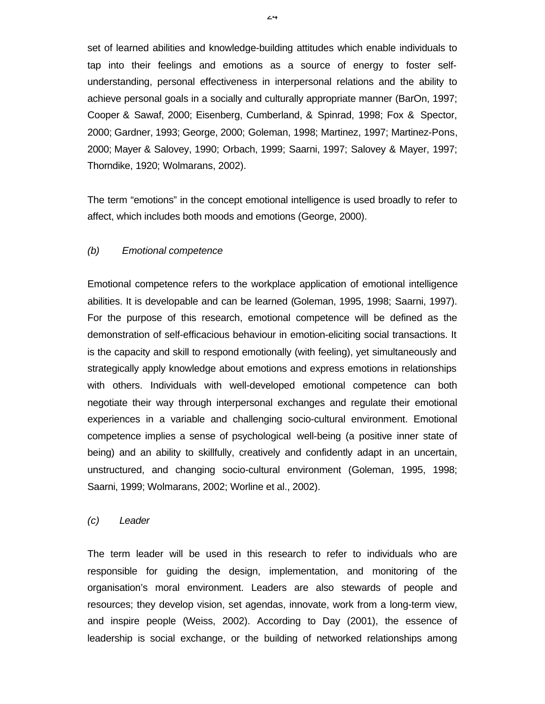set of learned abilities and knowledge-building attitudes which enable individuals to tap into their feelings and emotions as a source of energy to foster selfunderstanding, personal effectiveness in interpersonal relations and the ability to achieve personal goals in a socially and culturally appropriate manner (BarOn, 1997; Cooper & Sawaf, 2000; Eisenberg, Cumberland, & Spinrad, 1998; Fox & Spector, 2000; Gardner, 1993; George, 2000; Goleman, 1998; Martinez, 1997; Martinez-Pons, 2000; Mayer & Salovey, 1990; Orbach, 1999; Saarni, 1997; Salovey & Mayer, 1997; Thorndike, 1920; Wolmarans, 2002).

The term "emotions" in the concept emotional intelligence is used broadly to refer to affect, which includes both moods and emotions (George, 2000).

#### *(b) Emotional competence*

Emotional competence refers to the workplace application of emotional intelligence abilities. It is developable and can be learned (Goleman, 1995, 1998; Saarni, 1997). For the purpose of this research, emotional competence will be defined as the demonstration of self-efficacious behaviour in emotion-eliciting social transactions. It is the capacity and skill to respond emotionally (with feeling), yet simultaneously and strategically apply knowledge about emotions and express emotions in relationships with others. Individuals with well-developed emotional competence can both negotiate their way through interpersonal exchanges and regulate their emotional experiences in a variable and challenging socio-cultural environment. Emotional competence implies a sense of psychological well-being (a positive inner state of being) and an ability to skillfully, creatively and confidently adapt in an uncertain, unstructured, and changing socio-cultural environment (Goleman, 1995, 1998; Saarni, 1999; Wolmarans, 2002; Worline et al., 2002).

#### *(c) Leader*

The term leader will be used in this research to refer to individuals who are responsible for guiding the design, implementation, and monitoring of the organisation's moral environment. Leaders are also stewards of people and resources; they develop vision, set agendas, innovate, work from a long-term view, and inspire people (Weiss, 2002). According to Day (2001), the essence of leadership is social exchange, or the building of networked relationships among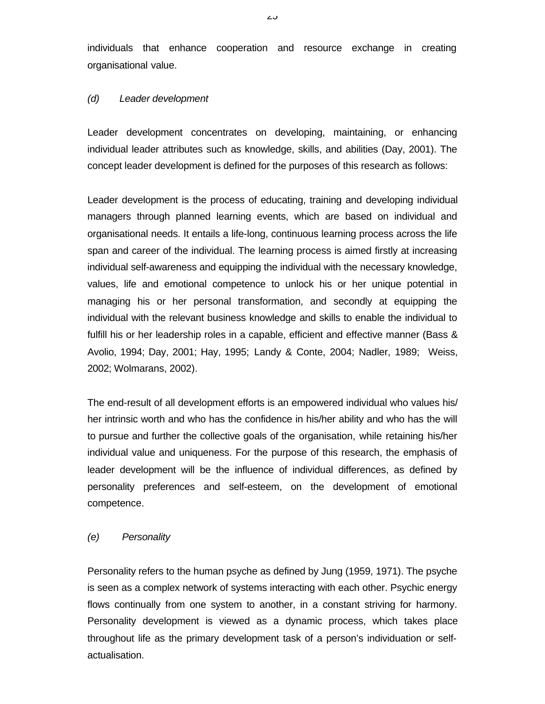individuals that enhance cooperation and resource exchange in creating organisational value.

### *(d) Leader development*

Leader development concentrates on developing, maintaining, or enhancing individual leader attributes such as knowledge, skills, and abilities (Day, 2001). The concept leader development is defined for the purposes of this research as follows:

Leader development is the process of educating, training and developing individual managers through planned learning events, which are based on individual and organisational needs. It entails a life-long, continuous learning process across the life span and career of the individual. The learning process is aimed firstly at increasing individual self-awareness and equipping the individual with the necessary knowledge, values, life and emotional competence to unlock his or her unique potential in managing his or her personal transformation, and secondly at equipping the individual with the relevant business knowledge and skills to enable the individual to fulfill his or her leadership roles in a capable, efficient and effective manner (Bass & Avolio, 1994; Day, 2001; Hay, 1995; Landy & Conte, 2004; Nadler, 1989; Weiss, 2002; Wolmarans, 2002).

The end-result of all development efforts is an empowered individual who values his/ her intrinsic worth and who has the confidence in his/her ability and who has the will to pursue and further the collective goals of the organisation, while retaining his/her individual value and uniqueness. For the purpose of this research, the emphasis of leader development will be the influence of individual differences, as defined by personality preferences and self-esteem, on the development of emotional competence.

## *(e) Personality*

Personality refers to the human psyche as defined by Jung (1959, 1971). The psyche is seen as a complex network of systems interacting with each other. Psychic energy flows continually from one system to another, in a constant striving for harmony. Personality development is viewed as a dynamic process, which takes place throughout life as the primary development task of a person's individuation or selfactualisation.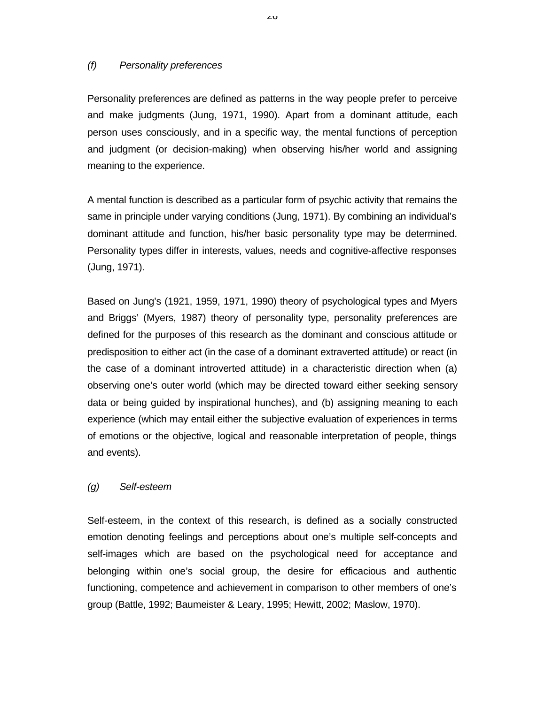### *(f) Personality preferences*

Personality preferences are defined as patterns in the way people prefer to perceive and make judgments (Jung, 1971, 1990). Apart from a dominant attitude, each person uses consciously, and in a specific way, the mental functions of perception and judgment (or decision-making) when observing his/her world and assigning meaning to the experience.

A mental function is described as a particular form of psychic activity that remains the same in principle under varying conditions (Jung, 1971). By combining an individual's dominant attitude and function, his/her basic personality type may be determined. Personality types differ in interests, values, needs and cognitive-affective responses (Jung, 1971).

Based on Jung's (1921, 1959, 1971, 1990) theory of psychological types and Myers and Briggs' (Myers, 1987) theory of personality type, personality preferences are defined for the purposes of this research as the dominant and conscious attitude or predisposition to either act (in the case of a dominant extraverted attitude) or react (in the case of a dominant introverted attitude) in a characteristic direction when (a) observing one's outer world (which may be directed toward either seeking sensory data or being guided by inspirational hunches), and (b) assigning meaning to each experience (which may entail either the subjective evaluation of experiences in terms of emotions or the objective, logical and reasonable interpretation of people, things and events).

## *(g) Self-esteem*

Self-esteem, in the context of this research, is defined as a socially constructed emotion denoting feelings and perceptions about one's multiple self-concepts and self-images which are based on the psychological need for acceptance and belonging within one's social group, the desire for efficacious and authentic functioning, competence and achievement in comparison to other members of one's group (Battle, 1992; Baumeister & Leary, 1995; Hewitt, 2002; Maslow, 1970).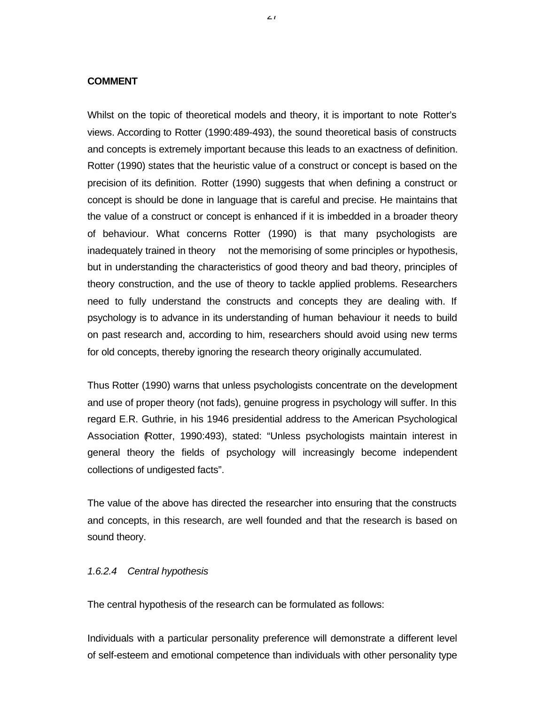#### **COMMENT**

Whilst on the topic of theoretical models and theory, it is important to note Rotter's views. According to Rotter (1990:489-493), the sound theoretical basis of constructs and concepts is extremely important because this leads to an exactness of definition. Rotter (1990) states that the heuristic value of a construct or concept is based on the precision of its definition. Rotter (1990) suggests that when defining a construct or concept is should be done in language that is careful and precise. He maintains that the value of a construct or concept is enhanced if it is imbedded in a broader theory of behaviour. What concerns Rotter (1990) is that many psychologists are inadequately trained in theory not the memorising of some principles or hypothesis, but in understanding the characteristics of good theory and bad theory, principles of theory construction, and the use of theory to tackle applied problems. Researchers need to fully understand the constructs and concepts they are dealing with. If psychology is to advance in its understanding of human behaviour it needs to build on past research and, according to him, researchers should avoid using new terms for old concepts, thereby ignoring the research theory originally accumulated.

Thus Rotter (1990) warns that unless psychologists concentrate on the development and use of proper theory (not fads), genuine progress in psychology will suffer. In this regard E.R. Guthrie, in his 1946 presidential address to the American Psychological Association (Rotter, 1990:493), stated: "Unless psychologists maintain interest in general theory the fields of psychology will increasingly become independent collections of undigested facts".

The value of the above has directed the researcher into ensuring that the constructs and concepts, in this research, are well founded and that the research is based on sound theory.

#### *1.6.2.4 Central hypothesis*

The central hypothesis of the research can be formulated as follows:

Individuals with a particular personality preference will demonstrate a different level of self-esteem and emotional competence than individuals with other personality type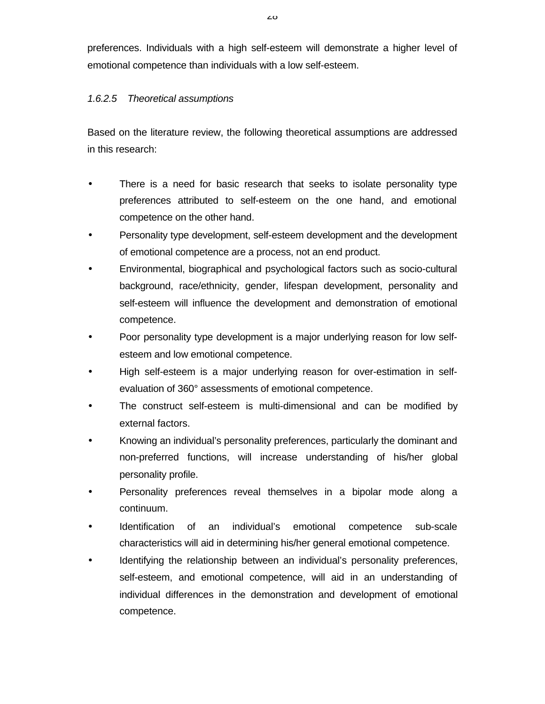preferences. Individuals with a high self-esteem will demonstrate a higher level of emotional competence than individuals with a low self-esteem.

# *1.6.2.5 Theoretical assumptions*

Based on the literature review, the following theoretical assumptions are addressed in this research:

- There is a need for basic research that seeks to isolate personality type preferences attributed to self-esteem on the one hand, and emotional competence on the other hand.
- Personality type development, self-esteem development and the development of emotional competence are a process, not an end product.
- Environmental, biographical and psychological factors such as socio-cultural background, race/ethnicity, gender, lifespan development, personality and self-esteem will influence the development and demonstration of emotional competence.
- Poor personality type development is a major underlying reason for low selfesteem and low emotional competence.
- High self-esteem is a major underlying reason for over-estimation in selfevaluation of 360° assessments of emotional competence.
- The construct self-esteem is multi-dimensional and can be modified by external factors.
- Knowing an individual's personality preferences, particularly the dominant and non-preferred functions, will increase understanding of his/her global personality profile.
- Personality preferences reveal themselves in a bipolar mode along a continuum.
- Identification of an individual's emotional competence sub-scale characteristics will aid in determining his/her general emotional competence.
- Identifying the relationship between an individual's personality preferences, self-esteem, and emotional competence, will aid in an understanding of individual differences in the demonstration and development of emotional competence.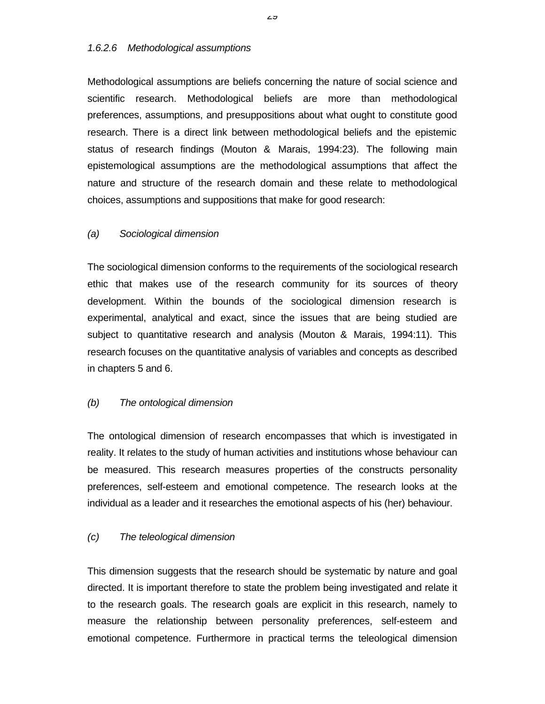### *1.6.2.6 Methodological assumptions*

Methodological assumptions are beliefs concerning the nature of social science and scientific research. Methodological beliefs are more than methodological preferences, assumptions, and presuppositions about what ought to constitute good research. There is a direct link between methodological beliefs and the epistemic status of research findings (Mouton & Marais, 1994:23). The following main epistemological assumptions are the methodological assumptions that affect the nature and structure of the research domain and these relate to methodological choices, assumptions and suppositions that make for good research:

## *(a) Sociological dimension*

The sociological dimension conforms to the requirements of the sociological research ethic that makes use of the research community for its sources of theory development. Within the bounds of the sociological dimension research is experimental, analytical and exact, since the issues that are being studied are subject to quantitative research and analysis (Mouton & Marais, 1994:11). This research focuses on the quantitative analysis of variables and concepts as described in chapters 5 and 6.

## *(b) The ontological dimension*

The ontological dimension of research encompasses that which is investigated in reality. It relates to the study of human activities and institutions whose behaviour can be measured. This research measures properties of the constructs personality preferences, self-esteem and emotional competence. The research looks at the individual as a leader and it researches the emotional aspects of his (her) behaviour.

## *(c) The teleological dimension*

This dimension suggests that the research should be systematic by nature and goal directed. It is important therefore to state the problem being investigated and relate it to the research goals. The research goals are explicit in this research, namely to measure the relationship between personality preferences, self-esteem and emotional competence. Furthermore in practical terms the teleological dimension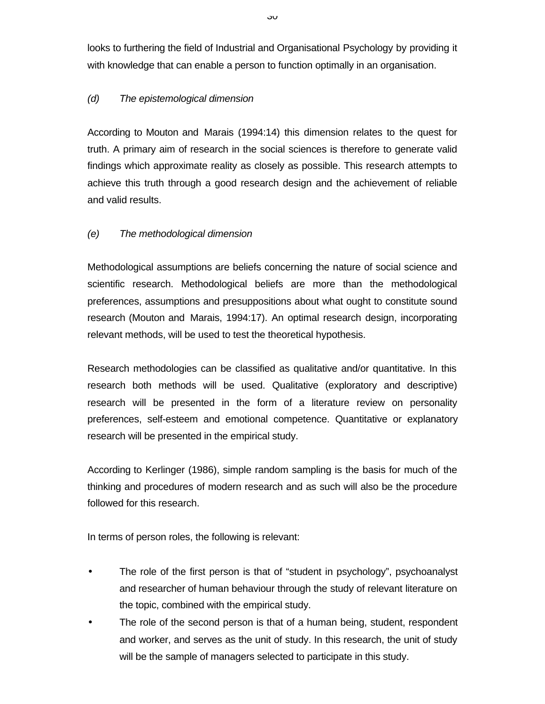looks to furthering the field of Industrial and Organisational Psychology by providing it with knowledge that can enable a person to function optimally in an organisation.

# *(d) The epistemological dimension*

According to Mouton and Marais (1994:14) this dimension relates to the quest for truth. A primary aim of research in the social sciences is therefore to generate valid findings which approximate reality as closely as possible. This research attempts to achieve this truth through a good research design and the achievement of reliable and valid results.

# *(e) The methodological dimension*

Methodological assumptions are beliefs concerning the nature of social science and scientific research. Methodological beliefs are more than the methodological preferences, assumptions and presuppositions about what ought to constitute sound research (Mouton and Marais, 1994:17). An optimal research design, incorporating relevant methods, will be used to test the theoretical hypothesis.

Research methodologies can be classified as qualitative and/or quantitative. In this research both methods will be used. Qualitative (exploratory and descriptive) research will be presented in the form of a literature review on personality preferences, self-esteem and emotional competence. Quantitative or explanatory research will be presented in the empirical study.

According to Kerlinger (1986), simple random sampling is the basis for much of the thinking and procedures of modern research and as such will also be the procedure followed for this research.

In terms of person roles, the following is relevant:

- The role of the first person is that of "student in psychology", psychoanalyst and researcher of human behaviour through the study of relevant literature on the topic, combined with the empirical study.
- The role of the second person is that of a human being, student, respondent and worker, and serves as the unit of study. In this research, the unit of study will be the sample of managers selected to participate in this study.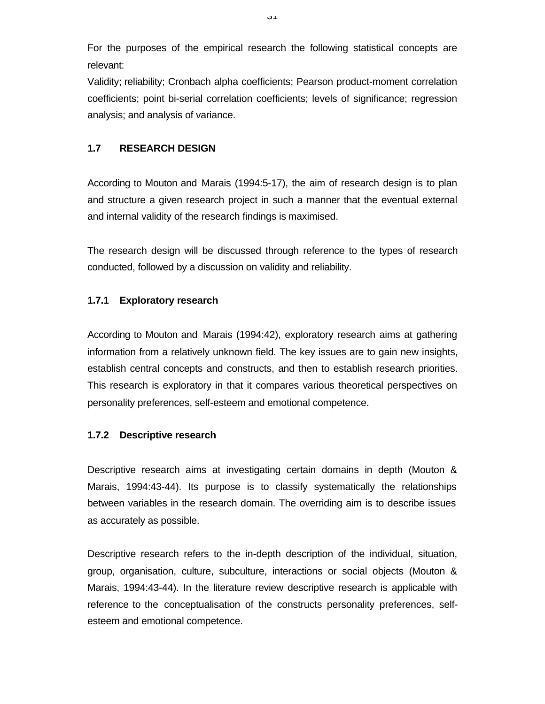For the purposes of the empirical research the following statistical concepts are relevant:

Validity; reliability; Cronbach alpha coefficients; Pearson product-moment correlation coefficients; point bi-serial correlation coefficients; levels of significance; regression analysis; and analysis of variance.

# **1.7 RESEARCH DESIGN**

According to Mouton and Marais (1994:5-17), the aim of research design is to plan and structure a given research project in such a manner that the eventual external and internal validity of the research findings is maximised.

The research design will be discussed through reference to the types of research conducted, followed by a discussion on validity and reliability.

# **1.7.1 Exploratory research**

According to Mouton and Marais (1994:42), exploratory research aims at gathering information from a relatively unknown field. The key issues are to gain new insights, establish central concepts and constructs, and then to establish research priorities. This research is exploratory in that it compares various theoretical perspectives on personality preferences, self-esteem and emotional competence.

## **1.7.2 Descriptive research**

Descriptive research aims at investigating certain domains in depth (Mouton & Marais, 1994:43-44). Its purpose is to classify systematically the relationships between variables in the research domain. The overriding aim is to describe issues as accurately as possible.

Descriptive research refers to the in-depth description of the individual, situation, group, organisation, culture, subculture, interactions or social objects (Mouton & Marais, 1994:43-44). In the literature review descriptive research is applicable with reference to the conceptualisation of the constructs personality preferences, selfesteem and emotional competence.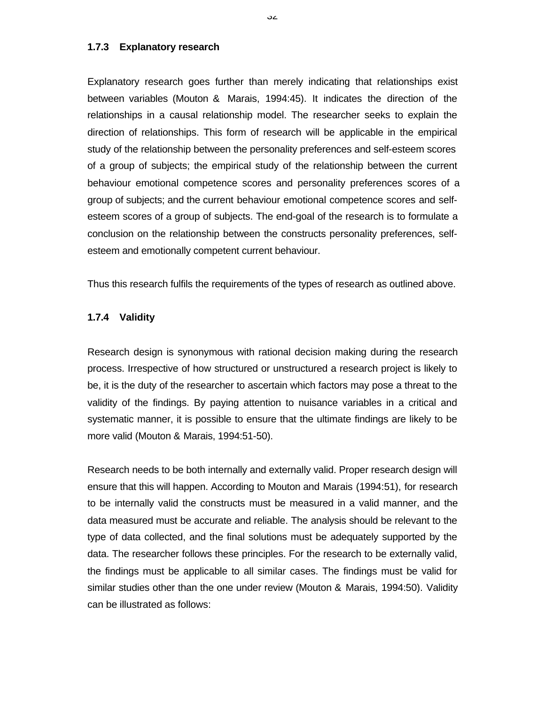#### **1.7.3 Explanatory research**

Explanatory research goes further than merely indicating that relationships exist between variables (Mouton & Marais, 1994:45). It indicates the direction of the relationships in a causal relationship model. The researcher seeks to explain the direction of relationships. This form of research will be applicable in the empirical study of the relationship between the personality preferences and self-esteem scores of a group of subjects; the empirical study of the relationship between the current behaviour emotional competence scores and personality preferences scores of a group of subjects; and the current behaviour emotional competence scores and selfesteem scores of a group of subjects. The end-goal of the research is to formulate a conclusion on the relationship between the constructs personality preferences, selfesteem and emotionally competent current behaviour.

Thus this research fulfils the requirements of the types of research as outlined above.

## **1.7.4 Validity**

Research design is synonymous with rational decision making during the research process. Irrespective of how structured or unstructured a research project is likely to be, it is the duty of the researcher to ascertain which factors may pose a threat to the validity of the findings. By paying attention to nuisance variables in a critical and systematic manner, it is possible to ensure that the ultimate findings are likely to be more valid (Mouton & Marais, 1994:51-50).

Research needs to be both internally and externally valid. Proper research design will ensure that this will happen. According to Mouton and Marais (1994:51), for research to be internally valid the constructs must be measured in a valid manner, and the data measured must be accurate and reliable. The analysis should be relevant to the type of data collected, and the final solutions must be adequately supported by the data. The researcher follows these principles. For the research to be externally valid, the findings must be applicable to all similar cases. The findings must be valid for similar studies other than the one under review (Mouton & Marais, 1994:50). Validity can be illustrated as follows: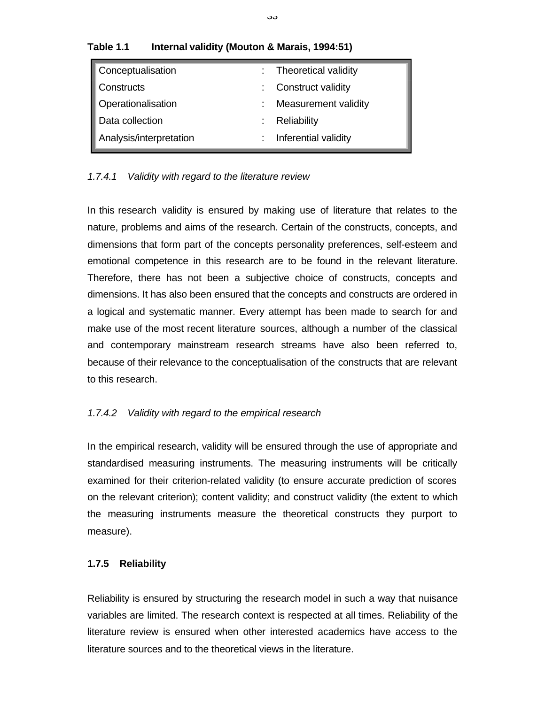| Conceptualisation       | : Theoretical validity |
|-------------------------|------------------------|
| Constructs              | : Construct validity   |
| Operationalisation      | Measurement validity   |
| Data collection         | Reliability            |
| Analysis/interpretation | Inferential validity   |

## **Table 1.1 Internal validity (Mouton & Marais, 1994:51)**

## *1.7.4.1 Validity with regard to the literature review*

In this research validity is ensured by making use of literature that relates to the nature, problems and aims of the research. Certain of the constructs, concepts, and dimensions that form part of the concepts personality preferences, self-esteem and emotional competence in this research are to be found in the relevant literature. Therefore, there has not been a subjective choice of constructs, concepts and dimensions. It has also been ensured that the concepts and constructs are ordered in a logical and systematic manner. Every attempt has been made to search for and make use of the most recent literature sources, although a number of the classical and contemporary mainstream research streams have also been referred to, because of their relevance to the conceptualisation of the constructs that are relevant to this research.

## *1.7.4.2 Validity with regard to the empirical research*

In the empirical research, validity will be ensured through the use of appropriate and standardised measuring instruments. The measuring instruments will be critically examined for their criterion-related validity (to ensure accurate prediction of scores on the relevant criterion); content validity; and construct validity (the extent to which the measuring instruments measure the theoretical constructs they purport to measure).

## **1.7.5 Reliability**

Reliability is ensured by structuring the research model in such a way that nuisance variables are limited. The research context is respected at all times. Reliability of the literature review is ensured when other interested academics have access to the literature sources and to the theoretical views in the literature.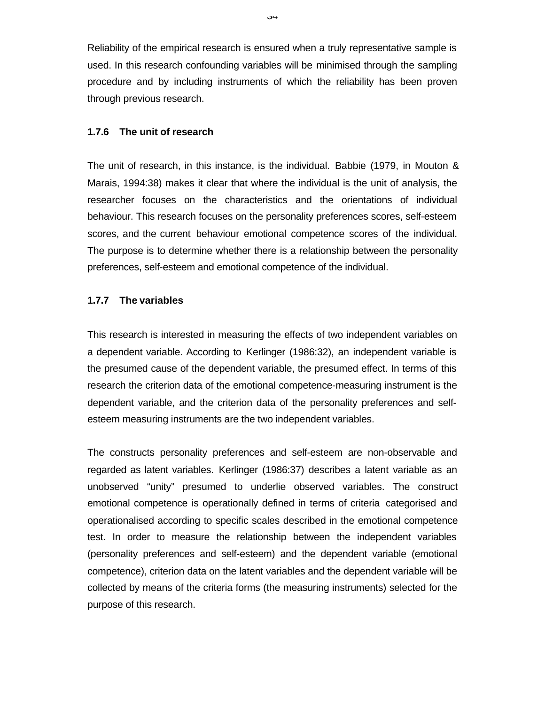Reliability of the empirical research is ensured when a truly representative sample is used. In this research confounding variables will be minimised through the sampling procedure and by including instruments of which the reliability has been proven through previous research.

#### **1.7.6 The unit of research**

The unit of research, in this instance, is the individual. Babbie (1979, in Mouton & Marais, 1994:38) makes it clear that where the individual is the unit of analysis, the researcher focuses on the characteristics and the orientations of individual behaviour. This research focuses on the personality preferences scores, self-esteem scores, and the current behaviour emotional competence scores of the individual. The purpose is to determine whether there is a relationship between the personality preferences, self-esteem and emotional competence of the individual.

## **1.7.7 The variables**

This research is interested in measuring the effects of two independent variables on a dependent variable. According to Kerlinger (1986:32), an independent variable is the presumed cause of the dependent variable, the presumed effect. In terms of this research the criterion data of the emotional competence-measuring instrument is the dependent variable, and the criterion data of the personality preferences and selfesteem measuring instruments are the two independent variables.

The constructs personality preferences and self-esteem are non-observable and regarded as latent variables. Kerlinger (1986:37) describes a latent variable as an unobserved "unity" presumed to underlie observed variables. The construct emotional competence is operationally defined in terms of criteria categorised and operationalised according to specific scales described in the emotional competence test. In order to measure the relationship between the independent variables (personality preferences and self-esteem) and the dependent variable (emotional competence), criterion data on the latent variables and the dependent variable will be collected by means of the criteria forms (the measuring instruments) selected for the purpose of this research.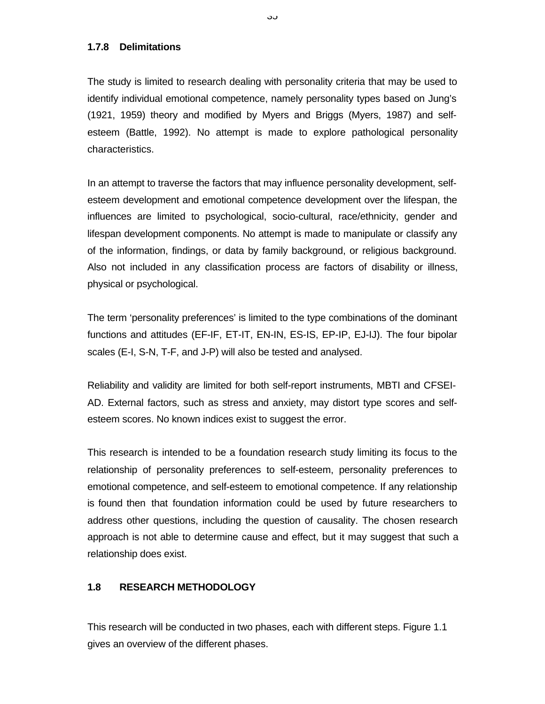### **1.7.8 Delimitations**

The study is limited to research dealing with personality criteria that may be used to identify individual emotional competence, namely personality types based on Jung's (1921, 1959) theory and modified by Myers and Briggs (Myers, 1987) and selfesteem (Battle, 1992). No attempt is made to explore pathological personality characteristics.

In an attempt to traverse the factors that may influence personality development, selfesteem development and emotional competence development over the lifespan, the influences are limited to psychological, socio-cultural, race/ethnicity, gender and lifespan development components. No attempt is made to manipulate or classify any of the information, findings, or data by family background, or religious background. Also not included in any classification process are factors of disability or illness, physical or psychological.

The term 'personality preferences' is limited to the type combinations of the dominant functions and attitudes (EF-IF, ET-IT, EN-IN, ES-IS, EP-IP, EJ-IJ). The four bipolar scales (E-I, S-N, T-F, and J-P) will also be tested and analysed.

Reliability and validity are limited for both self-report instruments, MBTI and CFSEI-AD. External factors, such as stress and anxiety, may distort type scores and selfesteem scores. No known indices exist to suggest the error.

This research is intended to be a foundation research study limiting its focus to the relationship of personality preferences to self-esteem, personality preferences to emotional competence, and self-esteem to emotional competence. If any relationship is found then that foundation information could be used by future researchers to address other questions, including the question of causality. The chosen research approach is not able to determine cause and effect, but it may suggest that such a relationship does exist.

# **1.8 RESEARCH METHODOLOGY**

This research will be conducted in two phases, each with different steps. Figure 1.1 gives an overview of the different phases.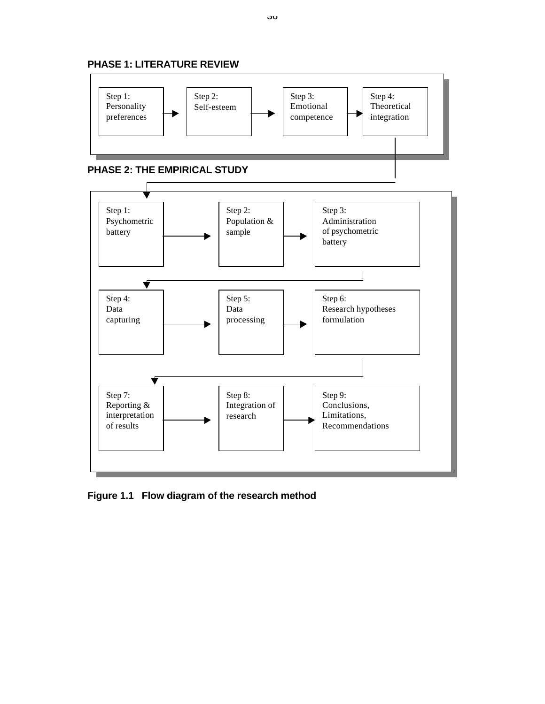

**Figure 1.1 Flow diagram of the research method**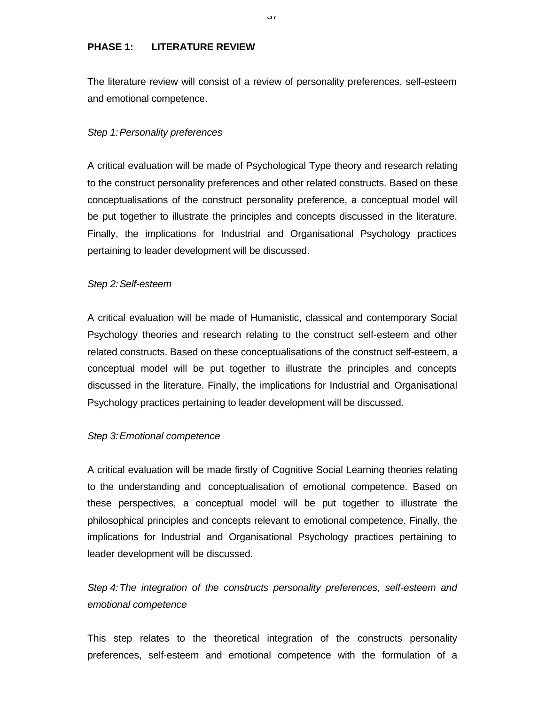## **PHASE 1: LITERATURE REVIEW**

The literature review will consist of a review of personality preferences, self-esteem and emotional competence.

### *Step 1:Personality preferences*

A critical evaluation will be made of Psychological Type theory and research relating to the construct personality preferences and other related constructs. Based on these conceptualisations of the construct personality preference, a conceptual model will be put together to illustrate the principles and concepts discussed in the literature. Finally, the implications for Industrial and Organisational Psychology practices pertaining to leader development will be discussed.

#### *Step 2:Self-esteem*

A critical evaluation will be made of Humanistic, classical and contemporary Social Psychology theories and research relating to the construct self-esteem and other related constructs. Based on these conceptualisations of the construct self-esteem, a conceptual model will be put together to illustrate the principles and concepts discussed in the literature. Finally, the implications for Industrial and Organisational Psychology practices pertaining to leader development will be discussed.

#### *Step 3:Emotional competence*

A critical evaluation will be made firstly of Cognitive Social Learning theories relating to the understanding and conceptualisation of emotional competence. Based on these perspectives, a conceptual model will be put together to illustrate the philosophical principles and concepts relevant to emotional competence. Finally, the implications for Industrial and Organisational Psychology practices pertaining to leader development will be discussed.

# *Step 4:The integration of the constructs personality preferences, self-esteem and emotional competence*

This step relates to the theoretical integration of the constructs personality preferences, self-esteem and emotional competence with the formulation of a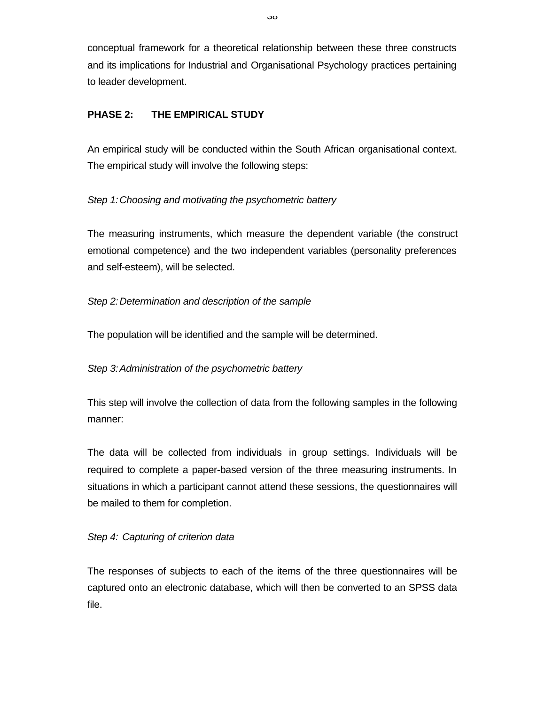conceptual framework for a theoretical relationship between these three constructs and its implications for Industrial and Organisational Psychology practices pertaining to leader development.

# **PHASE 2: THE EMPIRICAL STUDY**

An empirical study will be conducted within the South African organisational context. The empirical study will involve the following steps:

# *Step 1:Choosing and motivating the psychometric battery*

The measuring instruments, which measure the dependent variable (the construct emotional competence) and the two independent variables (personality preferences and self-esteem), will be selected.

# *Step 2:Determination and description of the sample*

The population will be identified and the sample will be determined.

# *Step 3:Administration of the psychometric battery*

This step will involve the collection of data from the following samples in the following manner:

The data will be collected from individuals in group settings. Individuals will be required to complete a paper-based version of the three measuring instruments. In situations in which a participant cannot attend these sessions, the questionnaires will be mailed to them for completion.

# *Step 4: Capturing of criterion data*

The responses of subjects to each of the items of the three questionnaires will be captured onto an electronic database, which will then be converted to an SPSS data file.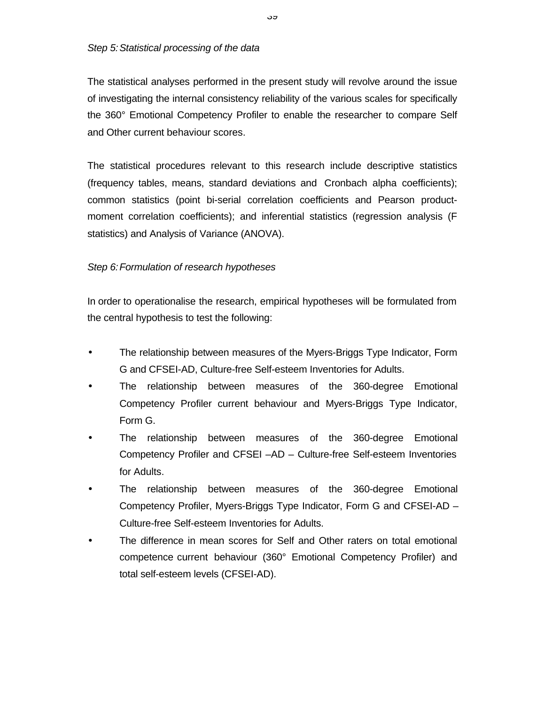### *Step 5:Statistical processing of the data*

The statistical analyses performed in the present study will revolve around the issue of investigating the internal consistency reliability of the various scales for specifically the 360° Emotional Competency Profiler to enable the researcher to compare Self and Other current behaviour scores.

The statistical procedures relevant to this research include descriptive statistics (frequency tables, means, standard deviations and Cronbach alpha coefficients); common statistics (point bi-serial correlation coefficients and Pearson productmoment correlation coefficients); and inferential statistics (regression analysis (F statistics) and Analysis of Variance (ANOVA).

# *Step 6:Formulation of research hypotheses*

In order to operationalise the research, empirical hypotheses will be formulated from the central hypothesis to test the following:

- The relationship between measures of the Myers-Briggs Type Indicator, Form G and CFSEI-AD, Culture-free Self-esteem Inventories for Adults.
- The relationship between measures of the 360-degree Emotional Competency Profiler current behaviour and Myers-Briggs Type Indicator, Form G.
- The relationship between measures of the 360-degree Emotional Competency Profiler and CFSEI –AD – Culture-free Self-esteem Inventories for Adults.
- The relationship between measures of the 360-degree Emotional Competency Profiler, Myers-Briggs Type Indicator, Form G and CFSEI-AD – Culture-free Self-esteem Inventories for Adults.
- The difference in mean scores for Self and Other raters on total emotional competence current behaviour (360° Emotional Competency Profiler) and total self-esteem levels (CFSEI-AD).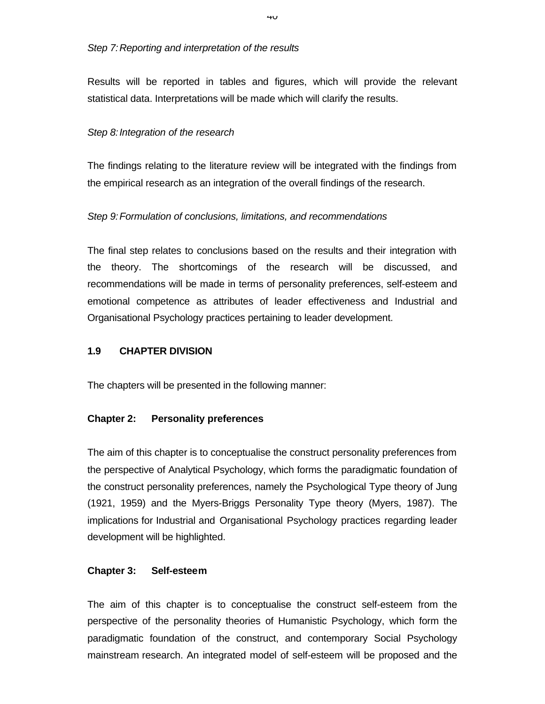### *Step 7:Reporting and interpretation of the results*

Results will be reported in tables and figures, which will provide the relevant statistical data. Interpretations will be made which will clarify the results.

## *Step 8:Integration of the research*

The findings relating to the literature review will be integrated with the findings from the empirical research as an integration of the overall findings of the research.

## *Step 9:Formulation of conclusions, limitations, and recommendations*

The final step relates to conclusions based on the results and their integration with the theory. The shortcomings of the research will be discussed, and recommendations will be made in terms of personality preferences, self-esteem and emotional competence as attributes of leader effectiveness and Industrial and Organisational Psychology practices pertaining to leader development.

## **1.9 CHAPTER DIVISION**

The chapters will be presented in the following manner:

## **Chapter 2: Personality preferences**

The aim of this chapter is to conceptualise the construct personality preferences from the perspective of Analytical Psychology, which forms the paradigmatic foundation of the construct personality preferences, namely the Psychological Type theory of Jung (1921, 1959) and the Myers-Briggs Personality Type theory (Myers, 1987). The implications for Industrial and Organisational Psychology practices regarding leader development will be highlighted.

## **Chapter 3: Self-esteem**

The aim of this chapter is to conceptualise the construct self-esteem from the perspective of the personality theories of Humanistic Psychology, which form the paradigmatic foundation of the construct, and contemporary Social Psychology mainstream research. An integrated model of self-esteem will be proposed and the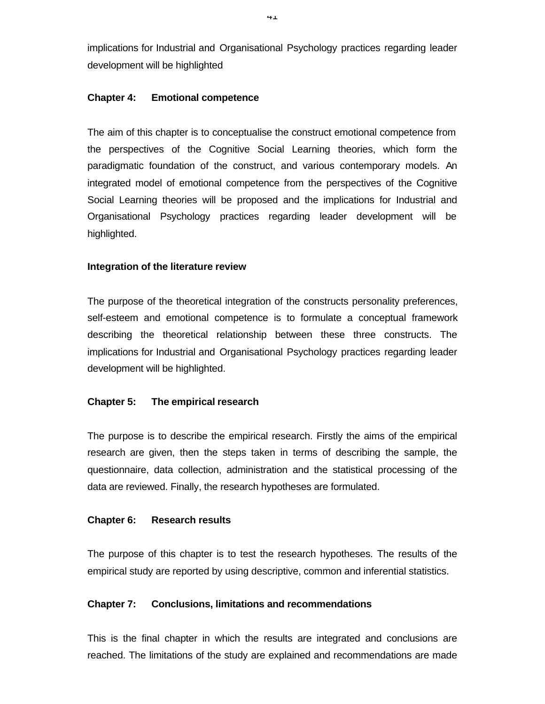implications for Industrial and Organisational Psychology practices regarding leader development will be highlighted

### **Chapter 4: Emotional competence**

The aim of this chapter is to conceptualise the construct emotional competence from the perspectives of the Cognitive Social Learning theories, which form the paradigmatic foundation of the construct, and various contemporary models. An integrated model of emotional competence from the perspectives of the Cognitive Social Learning theories will be proposed and the implications for Industrial and Organisational Psychology practices regarding leader development will be highlighted.

## **Integration of the literature review**

The purpose of the theoretical integration of the constructs personality preferences, self-esteem and emotional competence is to formulate a conceptual framework describing the theoretical relationship between these three constructs. The implications for Industrial and Organisational Psychology practices regarding leader development will be highlighted.

## **Chapter 5: The empirical research**

The purpose is to describe the empirical research. Firstly the aims of the empirical research are given, then the steps taken in terms of describing the sample, the questionnaire, data collection, administration and the statistical processing of the data are reviewed. Finally, the research hypotheses are formulated.

## **Chapter 6: Research results**

The purpose of this chapter is to test the research hypotheses. The results of the empirical study are reported by using descriptive, common and inferential statistics.

## **Chapter 7: Conclusions, limitations and recommendations**

This is the final chapter in which the results are integrated and conclusions are reached. The limitations of the study are explained and recommendations are made